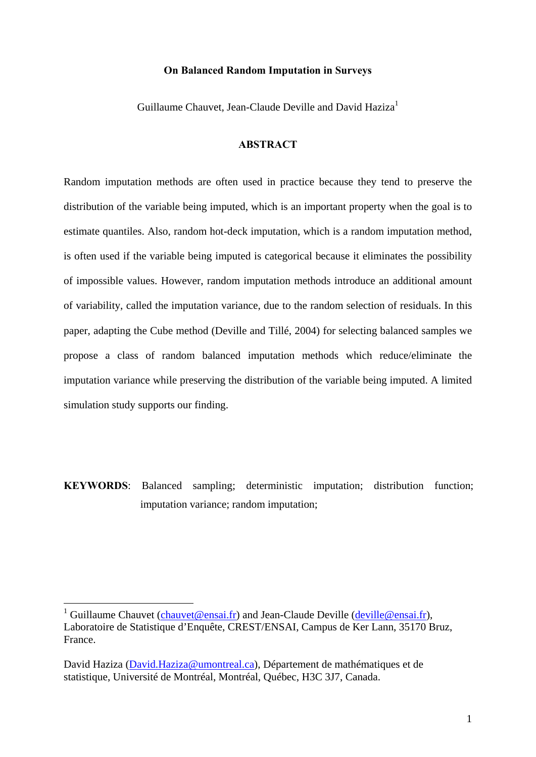### **On Balanced Random Imputation in Surveys**

Guillaume Chauvet, Jean-Claude Deville and David Haziza<sup>1</sup>

# **ABSTRACT**

Random imputation methods are often used in practice because they tend to preserve the distribution of the variable being imputed, which is an important property when the goal is to estimate quantiles. Also, random hot-deck imputation, which is a random imputation method, is often used if the variable being imputed is categorical because it eliminates the possibility of impossible values. However, random imputation methods introduce an additional amount of variability, called the imputation variance, due to the random selection of residuals. In this paper, adapting the Cube method (Deville and Tillé, 2004) for selecting balanced samples we propose a class of random balanced imputation methods which reduce/eliminate the imputation variance while preserving the distribution of the variable being imputed. A limited simulation study supports our finding.

**KEYWORDS**: Balanced sampling; deterministic imputation; distribution function; imputation variance; random imputation;

<u>.</u>

<sup>&</sup>lt;sup>1</sup> Guillaume Chauvet (*chauvet@ensai.fr*) and Jean-Claude Deville (*deville@ensai.fr*), Laboratoire de Statistique d'Enquête, CREST/ENSAI, Campus de Ker Lann, 35170 Bruz, France.

David Haziza (David.Haziza@umontreal.ca), Département de mathématiques et de statistique, Université de Montréal, Montréal, Québec, H3C 3J7, Canada.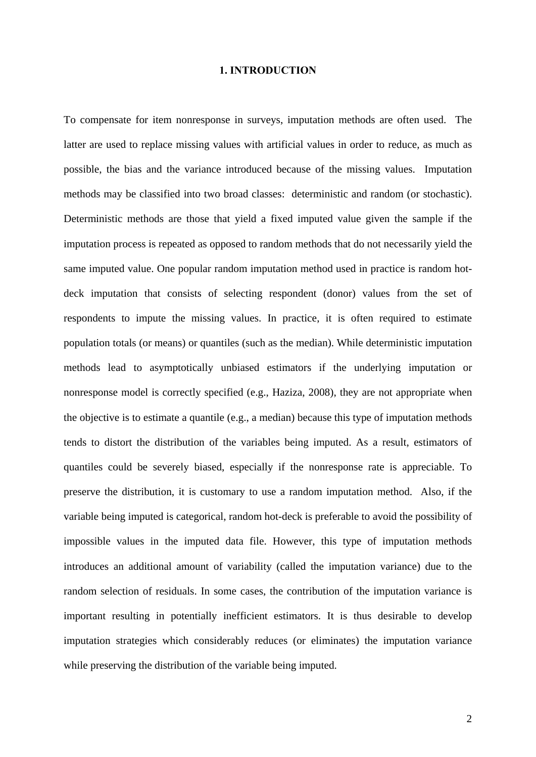### **1. INTRODUCTION**

To compensate for item nonresponse in surveys, imputation methods are often used. The latter are used to replace missing values with artificial values in order to reduce, as much as possible, the bias and the variance introduced because of the missing values. Imputation methods may be classified into two broad classes: deterministic and random (or stochastic). Deterministic methods are those that yield a fixed imputed value given the sample if the imputation process is repeated as opposed to random methods that do not necessarily yield the same imputed value. One popular random imputation method used in practice is random hotdeck imputation that consists of selecting respondent (donor) values from the set of respondents to impute the missing values. In practice, it is often required to estimate population totals (or means) or quantiles (such as the median). While deterministic imputation methods lead to asymptotically unbiased estimators if the underlying imputation or nonresponse model is correctly specified (e.g., Haziza, 2008), they are not appropriate when the objective is to estimate a quantile (e.g., a median) because this type of imputation methods tends to distort the distribution of the variables being imputed. As a result, estimators of quantiles could be severely biased, especially if the nonresponse rate is appreciable. To preserve the distribution, it is customary to use a random imputation method. Also, if the variable being imputed is categorical, random hot-deck is preferable to avoid the possibility of impossible values in the imputed data file. However, this type of imputation methods introduces an additional amount of variability (called the imputation variance) due to the random selection of residuals. In some cases, the contribution of the imputation variance is important resulting in potentially inefficient estimators. It is thus desirable to develop imputation strategies which considerably reduces (or eliminates) the imputation variance while preserving the distribution of the variable being imputed.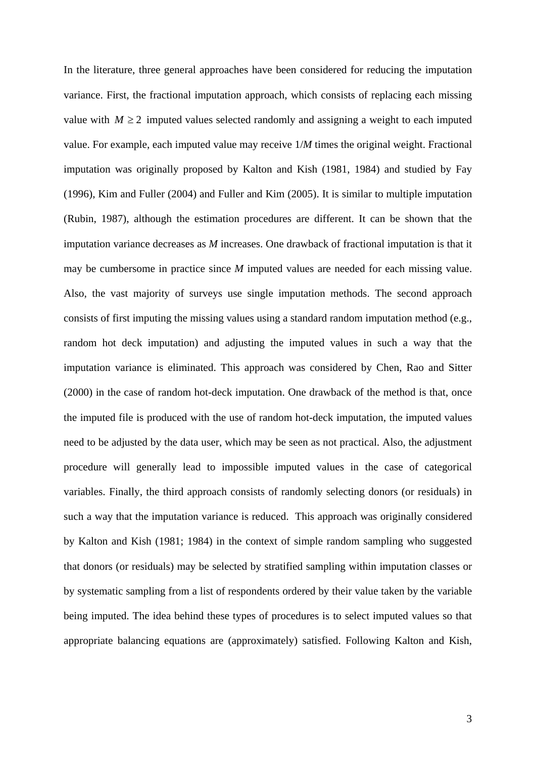In the literature, three general approaches have been considered for reducing the imputation variance. First, the fractional imputation approach, which consists of replacing each missing value with  $M \ge 2$  imputed values selected randomly and assigning a weight to each imputed value. For example, each imputed value may receive 1/*M* times the original weight. Fractional imputation was originally proposed by Kalton and Kish (1981, 1984) and studied by Fay (1996), Kim and Fuller (2004) and Fuller and Kim (2005). It is similar to multiple imputation (Rubin, 1987), although the estimation procedures are different. It can be shown that the imputation variance decreases as *M* increases. One drawback of fractional imputation is that it may be cumbersome in practice since *M* imputed values are needed for each missing value. Also, the vast majority of surveys use single imputation methods. The second approach consists of first imputing the missing values using a standard random imputation method (e.g., random hot deck imputation) and adjusting the imputed values in such a way that the imputation variance is eliminated. This approach was considered by Chen, Rao and Sitter (2000) in the case of random hot-deck imputation. One drawback of the method is that, once the imputed file is produced with the use of random hot-deck imputation, the imputed values need to be adjusted by the data user, which may be seen as not practical. Also, the adjustment procedure will generally lead to impossible imputed values in the case of categorical variables. Finally, the third approach consists of randomly selecting donors (or residuals) in such a way that the imputation variance is reduced. This approach was originally considered by Kalton and Kish (1981; 1984) in the context of simple random sampling who suggested that donors (or residuals) may be selected by stratified sampling within imputation classes or by systematic sampling from a list of respondents ordered by their value taken by the variable being imputed. The idea behind these types of procedures is to select imputed values so that appropriate balancing equations are (approximately) satisfied. Following Kalton and Kish,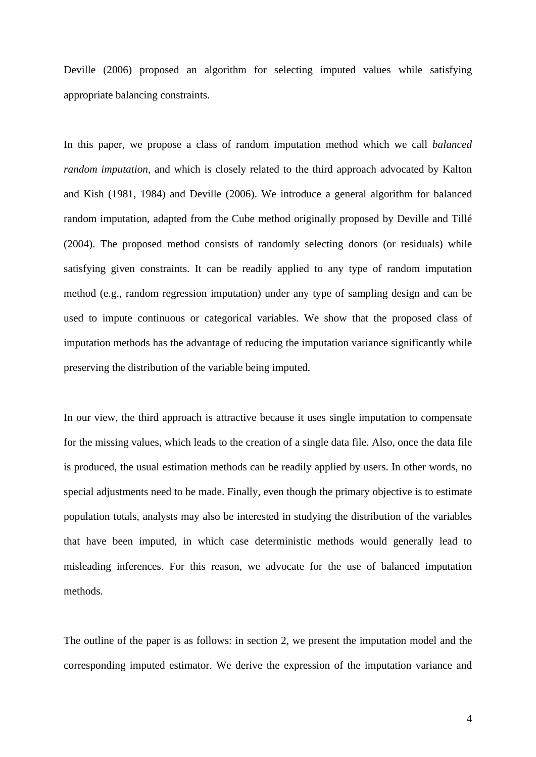Deville (2006) proposed an algorithm for selecting imputed values while satisfying appropriate balancing constraints.

In this paper, we propose a class of random imputation method which we call *balanced random imputation,* and which is closely related to the third approach advocated by Kalton and Kish (1981, 1984) and Deville (2006). We introduce a general algorithm for balanced random imputation, adapted from the Cube method originally proposed by Deville and Tillé (2004). The proposed method consists of randomly selecting donors (or residuals) while satisfying given constraints. It can be readily applied to any type of random imputation method (e.g., random regression imputation) under any type of sampling design and can be used to impute continuous or categorical variables. We show that the proposed class of imputation methods has the advantage of reducing the imputation variance significantly while preserving the distribution of the variable being imputed.

In our view, the third approach is attractive because it uses single imputation to compensate for the missing values, which leads to the creation of a single data file. Also, once the data file is produced, the usual estimation methods can be readily applied by users. In other words, no special adjustments need to be made. Finally, even though the primary objective is to estimate population totals, analysts may also be interested in studying the distribution of the variables that have been imputed, in which case deterministic methods would generally lead to misleading inferences. For this reason, we advocate for the use of balanced imputation methods.

The outline of the paper is as follows: in section 2, we present the imputation model and the corresponding imputed estimator. We derive the expression of the imputation variance and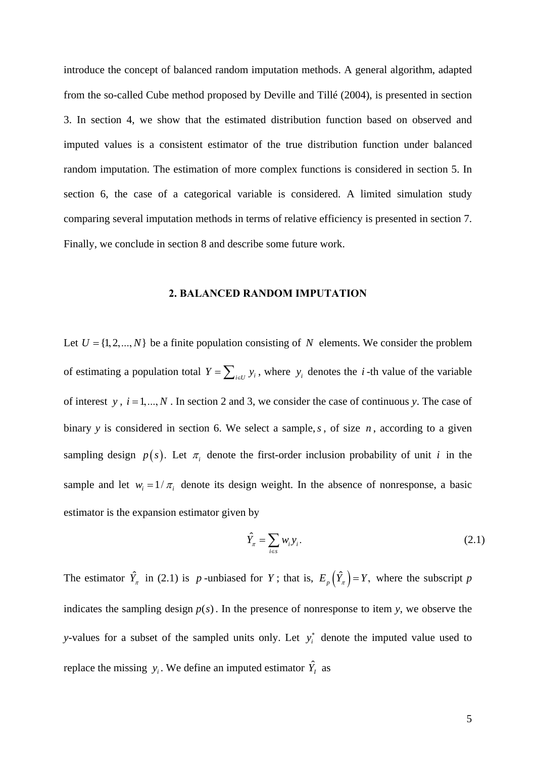introduce the concept of balanced random imputation methods. A general algorithm, adapted from the so-called Cube method proposed by Deville and Tillé (2004), is presented in section 3. In section 4, we show that the estimated distribution function based on observed and imputed values is a consistent estimator of the true distribution function under balanced random imputation. The estimation of more complex functions is considered in section 5. In section 6, the case of a categorical variable is considered. A limited simulation study comparing several imputation methods in terms of relative efficiency is presented in section 7. Finally, we conclude in section 8 and describe some future work.

# **2. BALANCED RANDOM IMPUTATION**

Let  $U = \{1, 2, ..., N\}$  be a finite population consisting of *N* elements. We consider the problem of estimating a population total  $Y = \sum_{i \in U} y_i$ , where  $y_i$  denotes the *i*-th value of the variable of interest *y*,  $i = 1, ..., N$ . In section 2 and 3, we consider the case of continuous *y*. The case of binary *y* is considered in section 6. We select a sample,*s* , of size *n* , according to a given sampling design  $p(s)$ . Let  $\pi_i$  denote the first-order inclusion probability of unit *i* in the sample and let  $w_i = 1 / \pi_i$  denote its design weight. In the absence of nonresponse, a basic estimator is the expansion estimator given by

$$
\hat{Y}_{\pi} = \sum_{i \in s} w_i y_i. \tag{2.1}
$$

The estimator  $\hat{Y}_\pi$  in (2.1) is p-unbiased for Y; that is,  $E_p(\hat{Y}_\pi) = Y$ , where the subscript p indicates the sampling design  $p(s)$ . In the presence of nonresponse to item *y*, we observe the *y*-values for a subset of the sampled units only. Let  $y_i^*$  denote the imputed value used to replace the missing  $y_i$ . We define an imputed estimator  $\hat{Y}_i$  as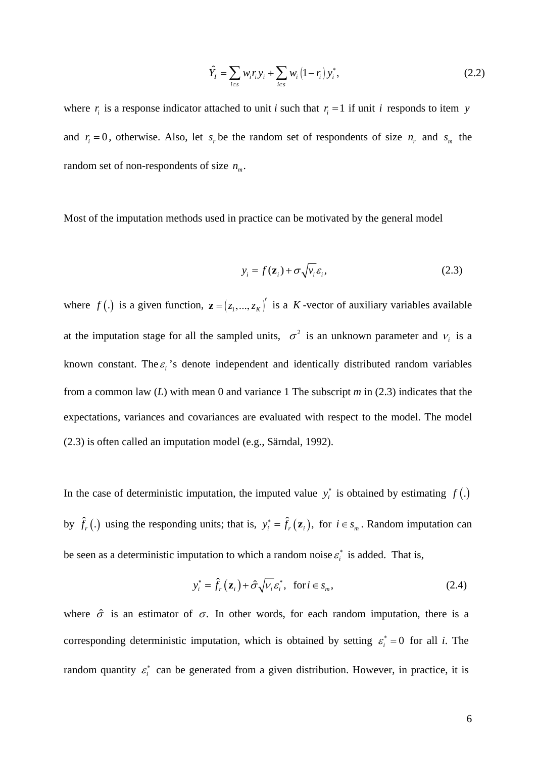$$
\hat{Y}_I = \sum_{i \in S} w_i r_i y_i + \sum_{i \in S} w_i (1 - r_i) y_i^*,
$$
\n(2.2)

where  $r_i$  is a response indicator attached to unit *i* such that  $r_i = 1$  if unit *i* responds to item *y* and  $r_i = 0$ , otherwise. Also, let  $s_r$  be the random set of respondents of size  $n_r$  and  $s_m$  the random set of non-respondents of size  $n_m$ .

Most of the imputation methods used in practice can be motivated by the general model

$$
y_i = f(\mathbf{z}_i) + \sigma \sqrt{v_i} \varepsilon_i, \tag{2.3}
$$

where  $f(.)$  is a given function,  $\mathbf{z} = (z_1, ..., z_k)^\prime$  is a *K*-vector of auxiliary variables available at the imputation stage for all the sampled units,  $\sigma^2$  is an unknown parameter and  $v_i$  is a known constant. The  $\varepsilon_i$ 's denote independent and identically distributed random variables from a common law (*L*) with mean 0 and variance 1 The subscript *m* in (2.3) indicates that the expectations, variances and covariances are evaluated with respect to the model. The model (2.3) is often called an imputation model (e.g., Särndal, 1992).

In the case of deterministic imputation, the imputed value  $y_i^*$  is obtained by estimating  $f(.)$ by  $\hat{f}_r$  (.) using the responding units; that is,  $y_i^* = \hat{f}_r(z_i)$ , for  $i \in s_m$ . Random imputation can be seen as a deterministic imputation to which a random noise  $\varepsilon_i^*$  is added. That is,

$$
y_i^* = \hat{f}_r(\mathbf{z}_i) + \hat{\sigma} \sqrt{V_i} \mathcal{E}_i^*, \text{ for } i \in s_m,
$$
 (2.4)

where  $\hat{\sigma}$  is an estimator of  $\sigma$ . In other words, for each random imputation, there is a corresponding deterministic imputation, which is obtained by setting  $\varepsilon_i^* = 0$  for all *i*. The random quantity  $\varepsilon_i^*$  can be generated from a given distribution. However, in practice, it is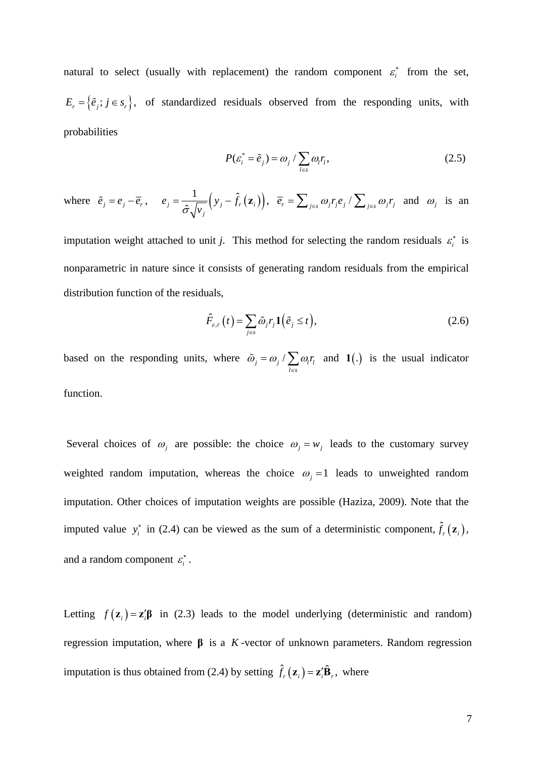natural to select (usually with replacement) the random component  $\varepsilon_i^*$  from the set,  $E_r = \{\tilde{e}_j; j \in s_r\}$ , of standardized residuals observed from the responding units, with probabilities

$$
P(\varepsilon_i^* = \tilde{e}_j) = \omega_j / \sum_{l \in s} \omega_l r_l,
$$
\n(2.5)

where 
$$
\tilde{e}_j = e_j - \overline{e}_r
$$
,  $e_j = \frac{1}{\hat{\sigma}\sqrt{v_j}}(y_j - \hat{f}_r(\mathbf{z}_i)), \overline{e}_r = \sum_{j \in S} \omega_j r_j e_j / \sum_{j \in S} \omega_j r_j$  and  $\omega_j$  is an

imputation weight attached to unit *j*. This method for selecting the random residuals  $\varepsilon_i^*$  is nonparametric in nature since it consists of generating random residuals from the empirical distribution function of the residuals,

$$
\hat{F}_{\varepsilon,r}(t) = \sum_{j \in s} \tilde{\omega}_j r_j \mathbf{1}(\tilde{e}_j \le t), \tag{2.6}
$$

based on the responding units, where  $\tilde{\omega}_j = \omega_j / \sum \omega_l r_l$  $l \in s$  $\tilde{\omega}_i = \omega_i / \sum_{i} \omega_i r_i$  $\tilde{\omega}_j = \omega_j / \sum_{l \in S} \omega_l r_l$  and **1**(.) is the usual indicator function.

Several choices of  $\omega_i$  are possible: the choice  $\omega_i = w_i$  leads to the customary survey weighted random imputation, whereas the choice  $\omega_j = 1$  leads to unweighted random imputation. Other choices of imputation weights are possible (Haziza, 2009). Note that the imputed value  $y_i^*$  in (2.4) can be viewed as the sum of a deterministic component,  $\hat{f}_r(\mathbf{z}_i)$ , and a random component  $\varepsilon_i^*$ .

Letting  $f(\mathbf{z}_i) = \mathbf{z}_i' \mathbf{\beta}$  in (2.3) leads to the model underlying (deterministic and random) regression imputation, where **β** is a *K* -vector of unknown parameters. Random regression imputation is thus obtained from (2.4) by setting  $\hat{f}_r(\mathbf{z}_i) = \mathbf{z}_i' \hat{\mathbf{B}}_r$ , where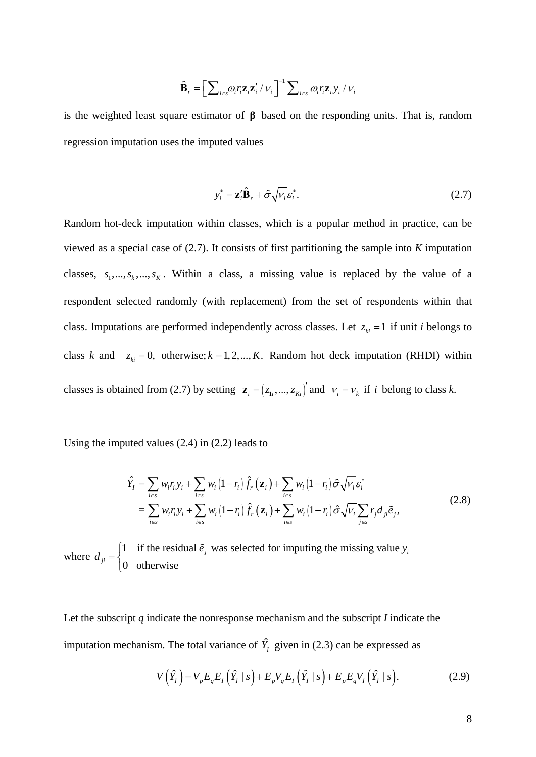$$
\hat{\mathbf{B}}_{r} = \left[\sum_{i \in s} \omega_{i} r_{i} \mathbf{z}_{i} \mathbf{z}_{i}^{\prime} / \nu_{i}\right]^{-1} \sum_{i \in s} \omega_{i} r_{i} \mathbf{z}_{i} y_{i} / \nu_{i}
$$

is the weighted least square estimator of **β** based on the responding units. That is, random regression imputation uses the imputed values

$$
y_i^* = \mathbf{z}_i' \hat{\mathbf{B}}_r + \hat{\sigma} \sqrt{V_i} \mathcal{E}_i^*.
$$
 (2.7)

Random hot-deck imputation within classes, which is a popular method in practice, can be viewed as a special case of (2.7). It consists of first partitioning the sample into *K* imputation classes,  $s_1, ..., s_k, ..., s_K$ . Within a class, a missing value is replaced by the value of a respondent selected randomly (with replacement) from the set of respondents within that class. Imputations are performed independently across classes. Let  $z_{ki} = 1$  if unit *i* belongs to class *k* and  $z_{ki} = 0$ , otherwise;  $k = 1, 2, ..., K$ . Random hot deck imputation (RHDI) within classes is obtained from (2.7) by setting  $\mathbf{z}_i = (z_{1i},..., z_{ki})'$  and  $v_i = v_k$  if *i* belong to class *k*.

Using the imputed values (2.4) in (2.2) leads to

$$
\hat{Y}_I = \sum_{i \in s} w_i r_i y_i + \sum_{i \in s} w_i (1 - r_i) \hat{f}_r (\mathbf{z}_i) + \sum_{i \in s} w_i (1 - r_i) \hat{\sigma} \sqrt{V_i} \varepsilon_i^*
$$
\n
$$
= \sum_{i \in s} w_i r_i y_i + \sum_{i \in s} w_i (1 - r_i) \hat{f}_r (\mathbf{z}_i) + \sum_{i \in s} w_i (1 - r_i) \hat{\sigma} \sqrt{V_i} \sum_{j \in s} r_j d_{ji} \tilde{e}_j,
$$
\n(2.8)

where  $d_{ii} = \begin{cases} 1 & \text{if the residual } \tilde{e}_i \text{ was selected for imputing the missing value} \end{cases}$ 0 otherwise  $j$  was science for imputing the imaging value  $y_j$  $d_{ji} = \begin{cases} 1 & \text{if the residual } \tilde{e}_j \text{ was selected for imputing the missing value } y \end{cases}$  $\overline{a}$  $\tilde{e}$ 

Let the subscript *q* indicate the nonresponse mechanism and the subscript *I* indicate the imputation mechanism. The total variance of  $\hat{Y}_1$  given in (2.3) can be expressed as

$$
V\left(\hat{Y}_I\right) = V_p E_q E_I \left(\hat{Y}_I \mid s\right) + E_p V_q E_I \left(\hat{Y}_I \mid s\right) + E_p E_q V_I \left(\hat{Y}_I \mid s\right). \tag{2.9}
$$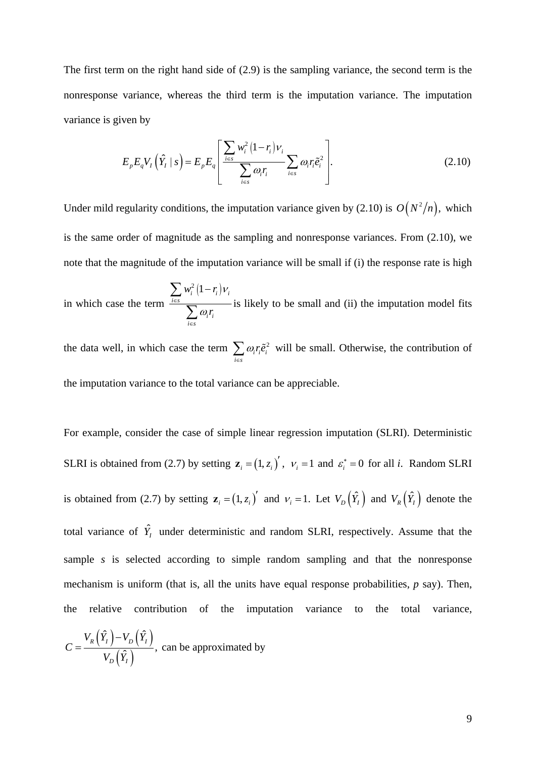The first term on the right hand side of (2.9) is the sampling variance, the second term is the nonresponse variance, whereas the third term is the imputation variance. The imputation variance is given by

$$
E_p E_q V_I \left( \hat{Y}_I \mid s \right) = E_p E_q \left[ \frac{\sum_{i \in s} w_i^2 (1 - r_i) v_i}{\sum_{i \in s} \omega_i r_i} \sum_{i \in s} \omega_i r_i \tilde{e}_i^2 \right].
$$
 (2.10)

Under mild regularity conditions, the imputation variance given by (2.10) is  $O(N^2/n)$ , which is the same order of magnitude as the sampling and nonresponse variances. From (2.10), we note that the magnitude of the imputation variance will be small if (i) the response rate is high

in which case the term  $r_i^2 (1 - r_i) v_i$ *i s i i i s*  $w_i^2(1-r_i)$ *r* ν ω ∈ ∈  $\sum w_i^2$  (1 –  $\sum \omega_i r_i$  is likely to be small and (ii) the imputation model fits

the data well, in which case the term  $\sum \omega_i r_i \tilde{e}_i^2$ *i s*  $\omega_i r_i \tilde{e}$  $\sum_{i \in s} \omega_i r_i \tilde{e}_i^2$  will be small. Otherwise, the contribution of the imputation variance to the total variance can be appreciable.

For example, consider the case of simple linear regression imputation (SLRI). Deterministic SLRI is obtained from (2.7) by setting  $z_i = (1, z_i)'$ ,  $v_i = 1$  and  $\varepsilon_i^* = 0$  for all *i*. Random SLRI is obtained from (2.7) by setting  $\mathbf{z}_i = (1, z_i)'$  and  $v_i = 1$ . Let  $V_D(\hat{Y}_I)$  and  $V_R(\hat{Y}_I)$  denote the total variance of  $\hat{Y}_I$  under deterministic and random SLRI, respectively. Assume that the sample *s* is selected according to simple random sampling and that the nonresponse mechanism is uniform (that is, all the units have equal response probabilities, *p* say). Then, the relative contribution of the imputation variance to the total variance,

$$
C = \frac{V_R(\hat{Y}_I) - V_D(\hat{Y}_I)}{V_D(\hat{Y}_I)},
$$
 can be approximated by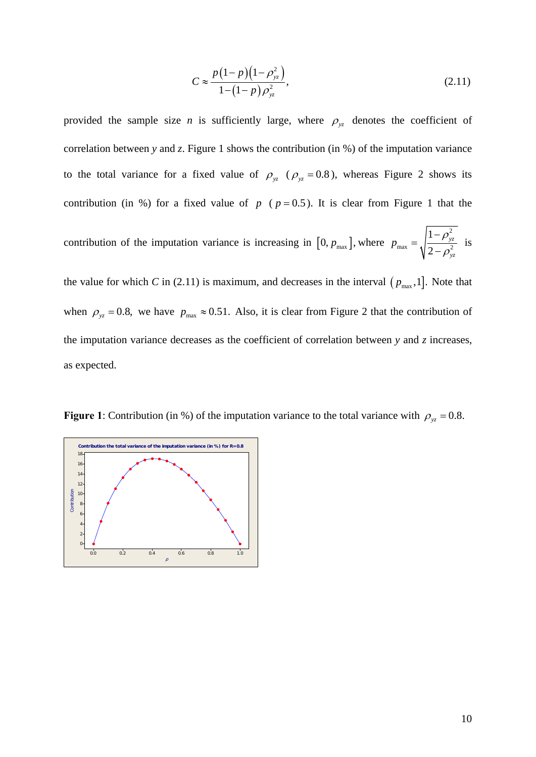$$
C \approx \frac{p(1-p)(1-\rho_{yz}^2)}{1-(1-p)\rho_{yz}^2},\tag{2.11}
$$

provided the sample size *n* is sufficiently large, where  $\rho_{yz}$  denotes the coefficient of correlation between *y* and *z*. Figure 1 shows the contribution (in %) of the imputation variance to the total variance for a fixed value of  $\rho_{yz}$  ( $\rho_{yz}$  = 0.8), whereas Figure 2 shows its contribution (in %) for a fixed value of  $p$  ( $p = 0.5$ ). It is clear from Figure 1 that the

contribution of the imputation variance is increasing in  $[0, p_{\text{max}}]$ , where 2  $\max$   $\begin{bmatrix} 1 & 2 \end{bmatrix}$ 1 2 *yz yz*  $p_{\text{max}} = \sqrt{\frac{1-\rho}{2}}$  $=\sqrt{\frac{1-\rho_{yz}^2}{2-\rho_{yz}^2}}$  is

the value for which *C* in (2.11) is maximum, and decreases in the interval  $(p_{\text{max}},1]$ . Note that when  $\rho_{yz} = 0.8$ , we have  $p_{max} \approx 0.51$ . Also, it is clear from Figure 2 that the contribution of the imputation variance decreases as the coefficient of correlation between *y* and *z* increases, as expected.

**Figure 1**: Contribution (in %) of the imputation variance to the total variance with  $\rho_{yz} = 0.8$ .

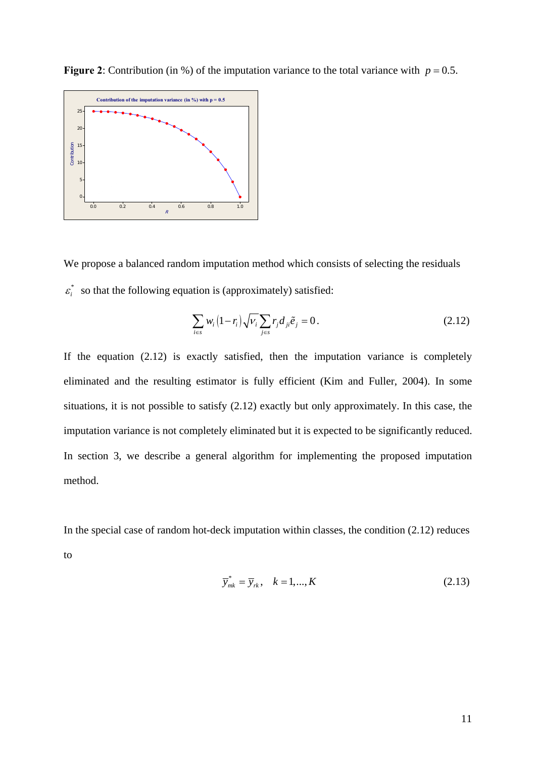

**Figure 2**: Contribution (in %) of the imputation variance to the total variance with  $p = 0.5$ .

We propose a balanced random imputation method which consists of selecting the residuals  $\varepsilon_i^*$  so that the following equation is (approximately) satisfied:

$$
\sum_{i \in S} w_i (1 - r_i) \sqrt{V_i} \sum_{j \in S} r_j d_{ji} \tilde{e}_j = 0.
$$
\n(2.12)

If the equation  $(2.12)$  is exactly satisfied, then the imputation variance is completely eliminated and the resulting estimator is fully efficient (Kim and Fuller, 2004). In some situations, it is not possible to satisfy (2.12) exactly but only approximately. In this case, the imputation variance is not completely eliminated but it is expected to be significantly reduced. In section 3, we describe a general algorithm for implementing the proposed imputation method.

In the special case of random hot-deck imputation within classes, the condition (2.12) reduces to

$$
\overline{y}_{mk}^* = \overline{y}_{rk}, \quad k = 1, \dots, K \tag{2.13}
$$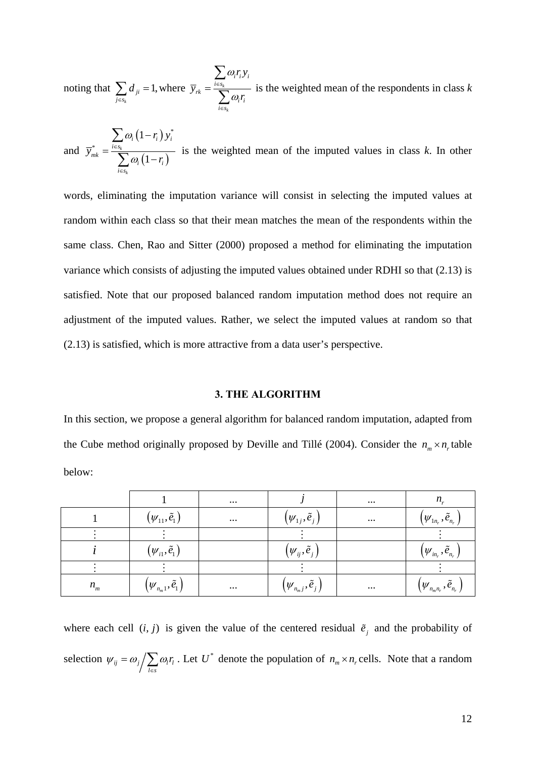noting that  $\sum d_{ii} = 1$ , *k ji j s d*  $\sum_{j \in s_k} d_{ji} = 1$ , where  $\bar{y}_{rk} = \frac{i \in s_k}{\sum_{k=1}^{k} a_k}$ *k ii i i s rk i i i s r y y r* ω ω ∈ ∈ = ∑  $\sum_{i=s_k}^{s_k} \overline{\omega_i r_i}$  is the weighted mean of the respondents in class *k* 

and  $(1 - r_i)$  $(1 - r_i)$ \* \* 1 1 *k k i*  $\left(1 - t_i\right)$  *y*<sub>*i*</sub> *i s mk*  $\mathbf{v}_i \mathbf{u} - \mathbf{v}_i$ *i s r y y r* ω ω ∈ ∈ −  $=\frac{\sum_{i=s_k}}{\sum_{i} \omega_i}$  (1 – ∑  $\sum_{k=1}^{s_k} \omega_i (1-r_i)$  is the weighted mean of the imputed values in class *k*. In other

words, eliminating the imputation variance will consist in selecting the imputed values at random within each class so that their mean matches the mean of the respondents within the same class. Chen, Rao and Sitter (2000) proposed a method for eliminating the imputation variance which consists of adjusting the imputed values obtained under RDHI so that (2.13) is satisfied. Note that our proposed balanced random imputation method does not require an adjustment of the imputed values. Rather, we select the imputed values at random so that (2.13) is satisfied, which is more attractive from a data user's perspective.

#### **3. THE ALGORITHM**

In this section, we propose a general algorithm for balanced random imputation, adapted from the Cube method originally proposed by Deville and Tillé (2004). Consider the  $n_m \times n_r$  table below:

|         |                                                                               | $\cdots$ |                                                                           | $\cdots$ | $n_r$                                     |
|---------|-------------------------------------------------------------------------------|----------|---------------------------------------------------------------------------|----------|-------------------------------------------|
|         | $(\psi_{11}, \tilde{e}_1)$                                                    | $\cdots$ | $(\psi_{1j},\tilde{e}_j)$                                                 | $\cdots$ | $(\psi_{1n_r},\tilde{e}_{n_r})$           |
|         |                                                                               |          |                                                                           |          |                                           |
|         | $(\psi_{i1}, \tilde{e}_{1})$                                                  |          | $(\psi_{ij}, \tilde{e}_j)$                                                |          | $(\psi_{_{in_{r}}},\tilde{e}_{_{n_{r}}})$ |
|         |                                                                               |          |                                                                           |          |                                           |
| $n_{m}$ | $\left(\boldsymbol{\mathcal{W}}_{n_m 1}, \widetilde{\boldsymbol{e}}_1\right)$ | $\cdots$ | $\left(\boldsymbol{\mathcal{W}}_{n_m j}, \boldsymbol{\tilde{e}}_j\right)$ | $\cdots$ | $(\psi_{n_{m}n_{r}},\tilde{e}_{n_{r}})$   |

where each cell  $(i, j)$  is given the value of the centered residual  $\tilde{e}_j$  and the probability of selection  $\psi_{ij} = \omega_j / \sum \omega_i r_i$  $l \in s$  $\psi_{ii} = \omega_i / \sum_i \omega_i r_i$  $= \omega_j / \sum_{l \in S} \omega_l r_l$ . Let  $U^*$  denote the population of  $n_m \times n_r$  cells. Note that a random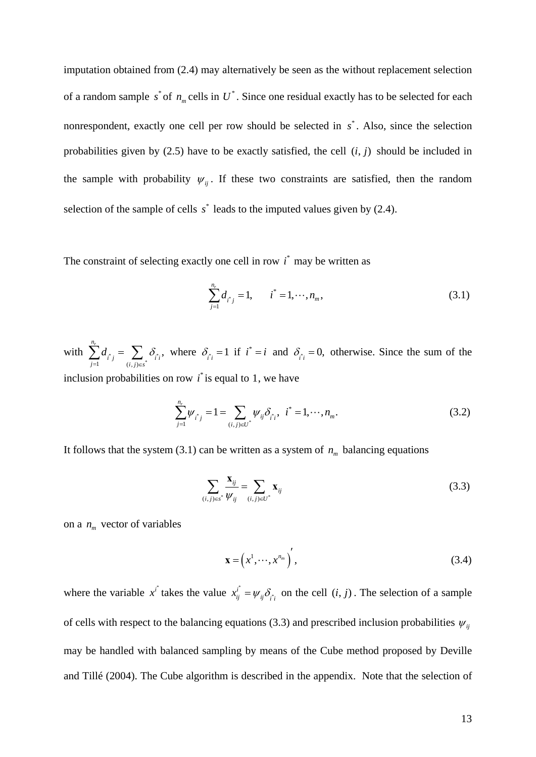imputation obtained from (2.4) may alternatively be seen as the without replacement selection of a random sample  $s^*$  of  $n_m$  cells in  $U^*$ . Since one residual exactly has to be selected for each nonrespondent, exactly one cell per row should be selected in  $s^*$ . Also, since the selection probabilities given by  $(2.5)$  have to be exactly satisfied, the cell  $(i, j)$  should be included in the sample with probability  $\psi_{ij}$ . If these two constraints are satisfied, then the random selection of the sample of cells  $s^*$  leads to the imputed values given by  $(2.4)$ .

The constraint of selecting exactly one cell in row  $i^*$  may be written as

$$
\sum_{j=1}^{n_r} d_{i^*j} = 1, \qquad i^* = 1, \cdots, n_m,
$$
\n(3.1)

with  $\sum d_{i} = \sum \delta_{i}$  $\begin{array}{cc} 1 & (i, j) \in s^* \end{array}$  $\sum_{j=1}^{n_r} d_{i^*j} = \sum_{(i,j) \in s^*} \delta_{i^*i}$  $d_{\mathbb{A}_i} = \sum_i \delta_i$  $\sum_{j=1}^{n} d_{i,j} = \sum_{(i,j)\in S^*} \delta_{i,j}$ , where  $\delta_{i,j} = 1$  if  $i^* = i$  and  $\delta_{i,j} = 0$ , otherwise. Since the sum of the inclusion probabilities on row  $\vec{i}$  is equal to 1, we have

$$
\sum_{j=1}^{n_r} \psi_{i^*j} = 1 = \sum_{(i,j)\in U^*} \psi_{ij} \delta_{i^*i}, \quad i^* = 1, \cdots, n_m. \tag{3.2}
$$

It follows that the system  $(3.1)$  can be written as a system of  $n_m$  balancing equations

$$
\sum_{(i,j)\in s^*} \frac{\mathbf{x}_{ij}}{\psi_{ij}} = \sum_{(i,j)\in U^*} \mathbf{x}_{ij}
$$
(3.3)

on a  $n_m$  vector of variables

$$
\mathbf{x} = \left(x^1, \cdots, x^{n_m}\right)',\tag{3.4}
$$

where the variable  $x^{i^*}$  takes the value  $x^{i^*}_{ii} = \psi_{ii} \delta_{i^*}$  $x_{ij}^i = \psi_{ij} \delta_{i i}$  on the cell  $(i, j)$ . The selection of a sample of cells with respect to the balancing equations (3.3) and prescribed inclusion probabilities  $\psi_{ij}$ may be handled with balanced sampling by means of the Cube method proposed by Deville and Tillé (2004). The Cube algorithm is described in the appendix. Note that the selection of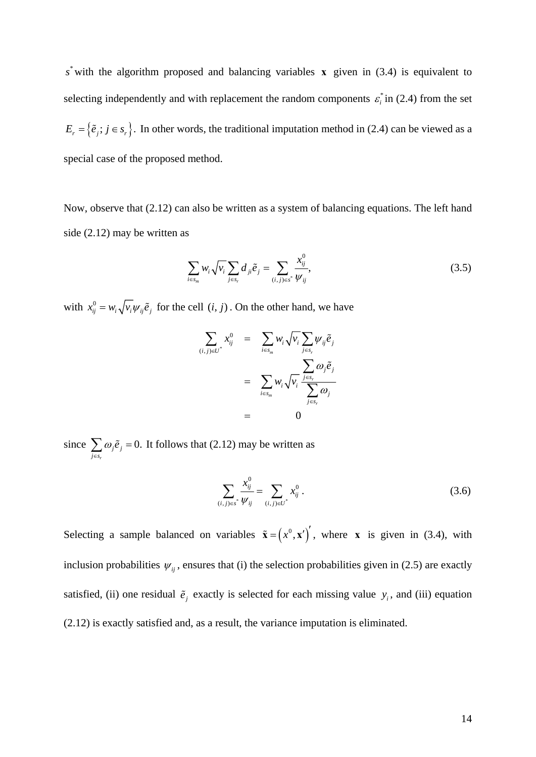$s^*$  with the algorithm proposed and balancing variables **x** given in (3.4) is equivalent to selecting independently and with replacement the random components  $\varepsilon_i^*$  in (2.4) from the set  $E_r = \{\tilde{e}_j; j \in s_r\}$ . In other words, the traditional imputation method in (2.4) can be viewed as a special case of the proposed method.

Now, observe that (2.12) can also be written as a system of balancing equations. The left hand side (2.12) may be written as

$$
\sum_{i \in s_m} w_i \sqrt{v_i} \sum_{j \in s_r} d_{ji} \tilde{e}_j = \sum_{(i,j) \in s^*} \frac{x_{ij}^0}{\psi_{ij}},
$$
\n(3.5)

with  $x_{ij}^0 = w_i \sqrt{v_i w_{ij} \tilde{e}_j}$  for the cell  $(i, j)$ . On the other hand, we have

$$
\sum_{(i,j)\in U^*} x_{ij}^0 = \sum_{i\in s_m} w_i \sqrt{v_i} \sum_{j\in s_r} \psi_{ij} \tilde{e}_j
$$

$$
= \sum_{i\in s_m} w_i \sqrt{v_i} \frac{\sum_{j\in s_r} \omega_j \tilde{e}_j}{\sum_{j\in s_r} \omega_j}
$$

$$
= 0
$$

since  $\sum \omega_i \tilde{e}_i = 0$ . *r j j j s*  $\omega_i \tilde{e}$  $\sum_{j \in s_r} \omega_j \tilde{e}_j = 0$ . It follows that (2.12) may be written as

$$
\sum_{(i,j)\in s^*}\frac{x_{ij}^0}{\psi_{ij}}=\sum_{(i,j)\in U^*}x_{ij}^0.
$$
\n(3.6)

Selecting a sample balanced on variables  $\tilde{\mathbf{x}} = (x^0, \mathbf{x}')'$ , where **x** is given in (3.4), with inclusion probabilities  $\psi_{ii}$ , ensures that (i) the selection probabilities given in (2.5) are exactly satisfied, (ii) one residual  $\tilde{e}_i$  exactly is selected for each missing value  $y_i$ , and (iii) equation (2.12) is exactly satisfied and, as a result, the variance imputation is eliminated.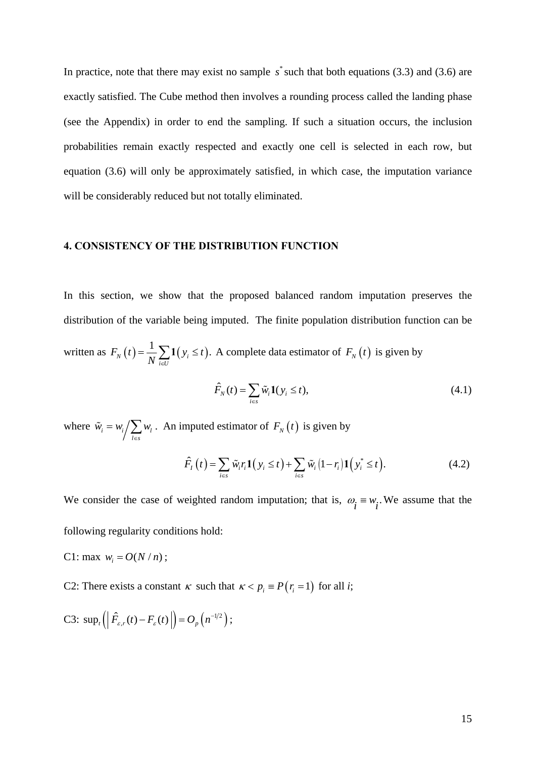In practice, note that there may exist no sample  $s^*$  such that both equations (3.3) and (3.6) are exactly satisfied. The Cube method then involves a rounding process called the landing phase (see the Appendix) in order to end the sampling. If such a situation occurs, the inclusion probabilities remain exactly respected and exactly one cell is selected in each row, but equation (3.6) will only be approximately satisfied, in which case, the imputation variance will be considerably reduced but not totally eliminated.

# **4. CONSISTENCY OF THE DISTRIBUTION FUNCTION**

In this section, we show that the proposed balanced random imputation preserves the distribution of the variable being imputed. The finite population distribution function can be written as  $F_N(t) = \frac{1}{N} \sum_i (y_i \le t)$ .  $F_N(t) = \frac{1}{N} \sum_{i \in U} \mathbf{1}(y_i \le t)$ . A complete data estimator of  $F_N(t)$  is given by

$$
\hat{F}_N(t) = \sum_{i \in S} \tilde{w}_i \mathbf{1}(y_i \le t),\tag{4.1}
$$

where  $\tilde{w}_i = w_i / \sum w_i$ *l s*  $\tilde{w}_i = w_i / \sum_{i} w_i$  $\tilde{w}_i = w_i / \sum_{l \in S} w_l$ . An imputed estimator of  $F_N(t)$  is given by

$$
\hat{F}_I(t) = \sum_{i \in s} \tilde{w}_i r_i \mathbf{1}(y_i \le t) + \sum_{i \in s} \tilde{w}_i (1 - r_i) \mathbf{1}(y_i^* \le t).
$$
\n(4.2)

We consider the case of weighted random imputation; that is,  $\omega_i \equiv w_i$ . We assume that the following regularity conditions hold:

- C1: max  $w_i = O(N/n)$ ;
- C2: There exists a constant  $\kappa$  such that  $\kappa < p_i \equiv P(r_i = 1)$  for all *i*;

C3: 
$$
\sup_t \left( \left| \hat{F}_{\varepsilon,r}(t) - F_{\varepsilon}(t) \right| \right) = O_p\left( n^{-1/2} \right);
$$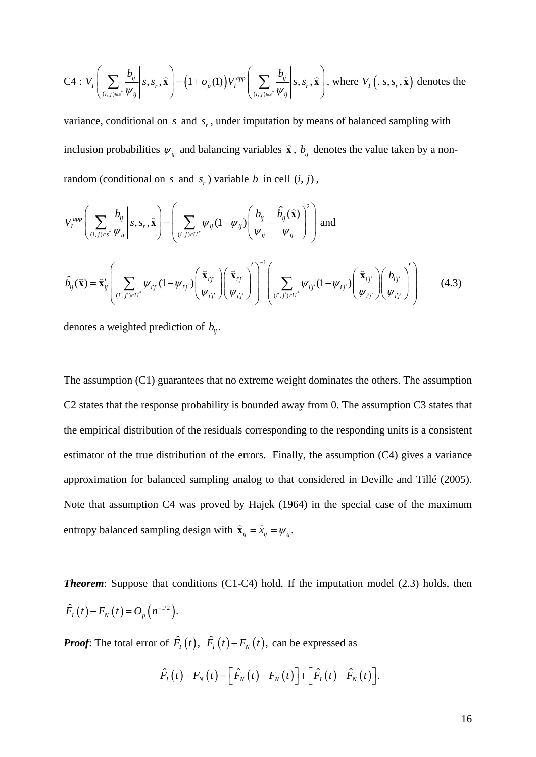C4: 
$$
V_I\left(\sum_{(i,j)\in s^*} \frac{b_{ij}}{\psi_{ij}} \middle| s, s_r, \hat{\mathbf{x}}\right) = (1 + o_p(1)) V_I^{app} \left(\sum_{(i,j)\in s^*} \frac{b_{ij}}{\psi_{ij}} \middle| s, s_r, \hat{\mathbf{x}}\right)
$$
, where  $V_I\left( \big| s, s_r, \hat{\mathbf{x}} \right)$  denotes the

variance, conditional on  $s$  and  $s_r$ , under imputation by means of balanced sampling with inclusion probabilities  $\psi_{ij}$  and balancing variables  $\hat{\mathbf{x}}$ ,  $b_{ij}$  denotes the value taken by a nonrandom (conditional on *s* and  $s_r$ ) variable *b* in cell  $(i, j)$ ,

$$
V_{I}^{app}\left(\sum_{(i,j)\in s^{*}}\frac{b_{ij}}{\psi_{ij}}\middle| s, s_{r}, \hat{\mathbf{x}}\right) = \left(\sum_{(i,j)\in U^{*}}\psi_{ij}(1-\psi_{ij})\left(\frac{b_{ij}}{\psi_{ij}}-\frac{\hat{b}_{ij}(\hat{\mathbf{x}})}{\psi_{ij}}\right)^{2}\right)
$$
 and  

$$
\hat{b}_{ij}(\hat{\mathbf{x}}) = \hat{\mathbf{x}}'_{ij}\left(\sum_{(i',j')\in U^{*}}\psi_{ij'}(1-\psi_{ij'})\left(\frac{\hat{\mathbf{x}}_{ij'}}{\psi_{ij'}}\right)\left(\frac{\hat{\mathbf{x}}_{ij'}}{\psi_{ij'}}\right)^{-1}\left(\sum_{(i',j')\in U^{*}}\psi_{ij'}(1-\psi_{ij'})\left(\frac{\hat{\mathbf{x}}_{ij'}}{\psi_{ij'}}\right)\left(\frac{b_{ij'}}{\psi_{ij'}}\right)^{-1}\right)
$$
(4.3)

denotes a weighted prediction of  $b_{ii}$ .

The assumption (C1) guarantees that no extreme weight dominates the others. The assumption C2 states that the response probability is bounded away from 0. The assumption C3 states that the empirical distribution of the residuals corresponding to the responding units is a consistent estimator of the true distribution of the errors. Finally, the assumption (C4) gives a variance approximation for balanced sampling analog to that considered in Deville and Tillé (2005). Note that assumption C4 was proved by Hajek (1964) in the special case of the maximum entropy balanced sampling design with  $\hat{\mathbf{x}}_{ij} = \hat{x}_{ij} = \psi_{ij}$ .

**Theorem:** Suppose that conditions (C1-C4) hold. If the imputation model (2.3) holds, then  $\hat{F}_I(t) - F_N(t) = O_p(n^{-1/2}).$ 

*Proof*: The total error of  $\hat{F}_t(t)$ ,  $\hat{F}_t(t) - F_y(t)$ , can be expressed as

$$
\hat{F}_I(t) - F_N(t) = \left[\hat{F}_N(t) - F_N(t)\right] + \left[\hat{F}_I(t) - \hat{F}_N(t)\right].
$$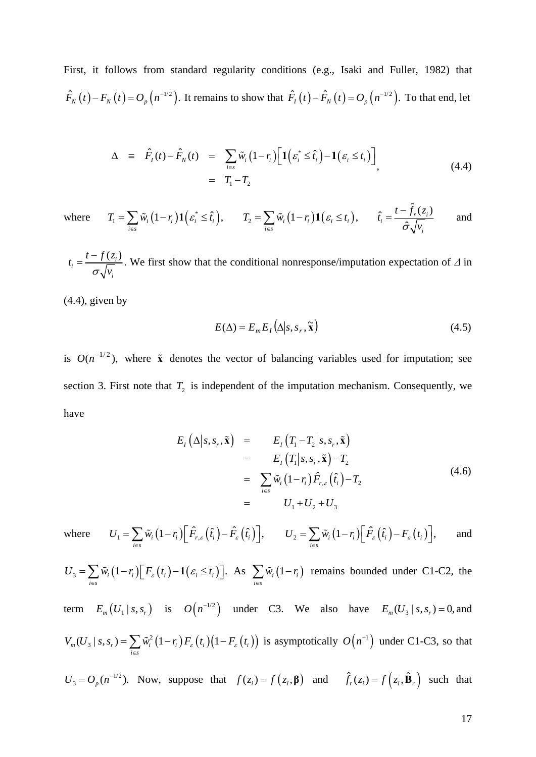First, it follows from standard regularity conditions (e.g., Isaki and Fuller, 1982) that  $\hat{F}_N(t) - F_N(t) = O_p(n^{-1/2})$ . It remains to show that  $\hat{F}_I(t) - \hat{F}_N(t) = O_p(n^{-1/2})$ . To that end, let

$$
\Delta \equiv \hat{F}_I(t) - \hat{F}_N(t) = \sum_{i \in S} \tilde{w}_i (1 - r_i) \Big[ \mathbf{1} \Big( \varepsilon_i^* \leq \hat{t}_i \Big) - \mathbf{1} \Big( \varepsilon_i \leq t_i \Big) \Big] \n= T_1 - T_2
$$
\n(4.4)

where  $T_1 = \sum \tilde{w}_i (1 - r_i) \mathbf{1} \left( \varepsilon_i^* \leq \hat{t}_i \right),$ *i s*  $T_1 = \sum \tilde{w}_i (1-r_i) \mathbf{1} ( \varepsilon_i^* \leq t$  $=\sum_{i\in s}\tilde{w}_i(1-r_i)\mathbf{1}\Bigl(\varepsilon_i^*\leq \hat{t}_i\Bigr),\qquad T_2=\sum_{i\in s}\tilde{w}_i\bigl(1-r_i\bigr)\mathbf{1}\Bigl(\varepsilon_i\leq t_i\Bigr),$  $T_2 = \sum \tilde{w}_i (1-r_i) \mathbf{1} (\varepsilon_i \leq t$  $=\sum_{i\in s}\tilde{w}_i(1-r_i)\mathbf{1}\big(\varepsilon_i\leq t_i\big),\qquad \hat{t}_i=\frac{t-\hat{f}_r(z_i)}{\hat{\sigma}\sqrt{\mathcal{V}_i}}$  $\frac{1}{i} = \frac{i - f_r(x_i)}{2}$ *i*  $\hat{t}_i = \frac{t - \hat{f}_r(z)}{t}$  $\hat{\sigma} \sqrt{\nu}$  $=\frac{t-f_r(z_i)}{r}$  and

 $\frac{t-f(z_i)}{f}$ *i*  $t_i = \frac{t - f(z)}{f}$  $\sigma$ <sub>1</sub>ν  $=\frac{t-f(z_i)}{\sqrt{n}}$ . We first show that the conditional nonresponse/imputation expectation of  $\Delta$  in

 $(4.4)$ , given by

*i s*

$$
E(\Delta) = E_m E_I(\Delta | s, s_r, \tilde{\mathbf{x}})
$$
\n(4.5)

is  $O(n^{-1/2})$ , where  $\tilde{\mathbf{x}}$  denotes the vector of balancing variables used for imputation; see section 3. First note that  $T_2$  is independent of the imputation mechanism. Consequently, we have

$$
E_{I}(\Delta|s, s_{r}, \tilde{\mathbf{x}}) = E_{I}(T_{1} - T_{2}|s, s_{r}, \tilde{\mathbf{x}})
$$
  
\n
$$
= E_{I}(T_{1}|s, s_{r}, \tilde{\mathbf{x}}) - T_{2}
$$
  
\n
$$
= \sum_{i \in s} \tilde{w}_{i} (1 - r_{i}) \hat{F}_{r, \varepsilon} (\hat{t}_{i}) - T_{2}
$$
  
\n
$$
= U_{1} + U_{2} + U_{3}
$$
\n(4.6)

where  $U_1 = \sum \tilde{w}_i (1 - r_i) \left[ \hat{F}_{r,\varepsilon} (\hat{t}_i) - \hat{F}_{\varepsilon} (\hat{t}_i) \right],$ *i s*  $U_1 = \sum \tilde{W}_i (1-r_i) |\tilde{F}_{r,\varepsilon}(\hat{t}_i) - \tilde{F}_{\varepsilon}(\hat{t}_i)$  $= \sum_{i\in s} \tilde{w}_i \big(1-r_i\big) \Big[ \hat{F}_{r,\varepsilon}\left(\hat{t}_i\right) - \hat{F}_{\varepsilon}\left(\hat{t}_i\right) \Big], \qquad U_2 = \sum_{i\in s} \tilde{w}_i \big(1-r_i\big) \Big[ \hat{F}_{\varepsilon}\left(\hat{t}_i\right) - F_{\varepsilon}\left(t_i\right) \Big],$  $U_2 = \sum \tilde{W}_i \left(1 - r_i\right) \left| \right. \hat{F}_\varepsilon \left(\hat{t}_i\right) - F_\varepsilon \left(t_i\right)$  $=\sum_{i\in s}\tilde{w}_i(1-r_i)\big[\hat{F}_\varepsilon(\hat{t}_i)-F_\varepsilon(t_i)\big],$  and

 $\mathcal{L}_3 = \sum \widetilde{W}_i \left( 1 - r_i \right) \mid F_{\varepsilon} \left( t_i \right) - \mathbf{1} \left( \varepsilon_i \leq t_i \right) \mid .$ *i s*  $U_{\overline{3}} = \sum \widetilde{W}_{i} (1-r_{i}) | F_{\varepsilon} (t_{i}) - 1 ( \varepsilon_{i} \leq t_{i})$  $=\sum_{i\in S}\tilde{w}_i(1-r_i)\Big[F_{\varepsilon}(t_i)-\mathbf{1}(\varepsilon_i\leq t_i)\Big].$  As  $\sum_{i\in S}\tilde{w}_i(1-r_i)$  $\tilde{w}_i(1-r)$  $\sum_{i \in s} \tilde{w}_i (1 - r_i)$  remains bounded under C1-C2, the term  $E_m(U_1 | s, s_r)$  is  $O(n^{-1/2})$  under C3. We also have  $E_m(U_3 | s, s_r) = 0$ , and  $V_m(U_{_3} \mid s, s_r) = \sum \tilde{w}_i^2 \left( 1 - r_i \right) F_{\varepsilon} \left( t_i \right) \left( 1 - F_{\varepsilon} \left( t_i \right) \right)$  $V_m(U_3 | s, s_r) = \sum \tilde{w}_i^2 (1 - r_i) F_{\varepsilon} (t_i) (1 - F_{\varepsilon} (t_i))$  $=\sum_{i\in S} \tilde{w}_i^2 (1-r_i) F_{\varepsilon}(t_i) (1-F_{\varepsilon}(t_i))$  is asymptotically  $O(n^{-1})$  under C1-C3, so that

$$
U_3 = O_p(n^{-1/2})
$$
. Now, suppose that  $f(z_i) = f(z_i, \beta)$  and  $\hat{f}_r(z_i) = f(z_i, \hat{\mathbf{B}}_r)$  such that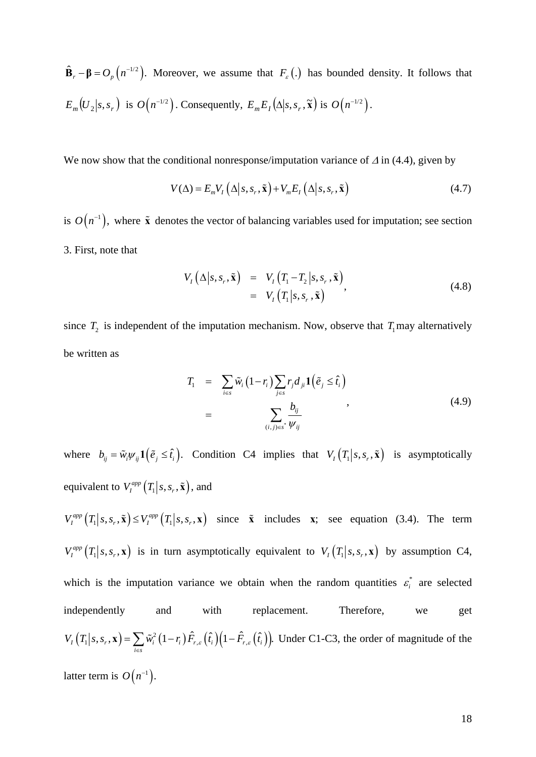$\hat{\mathbf{B}}_r - \mathbf{\beta} = O_p(n^{-1/2})$ . Moreover, we assume that  $F_{\varepsilon}(\cdot)$  has bounded density. It follows that  $E_m(U_2|s,s_r)$  is  $O(n^{-1/2})$ . Consequently,  $E_mE_I(\Delta|s,s_r,\tilde{\mathbf{x}})$  is  $O(n^{-1/2})$ .

We now show that the conditional nonresponse/imputation variance of  $\Delta$  in (4.4), given by

$$
V(\Delta) = E_m V_I \left( \Delta \middle| s, s_r, \tilde{\mathbf{x}} \right) + V_m E_I \left( \Delta \middle| s, s_r, \tilde{\mathbf{x}} \right) \tag{4.7}
$$

is  $O(n^{-1})$ , where  $\tilde{\mathbf{x}}$  denotes the vector of balancing variables used for imputation; see section 3. First, note that

$$
V_I(\Delta|s, s_r, \tilde{\mathbf{x}}) = V_I(T_1 - T_2|s, s_r, \tilde{\mathbf{x}})
$$
  
= 
$$
V_I(T_1|s, s_r, \tilde{\mathbf{x}})
$$
 (4.8)

since  $T_2$  is independent of the imputation mechanism. Now, observe that  $T_1$  may alternatively be written as

$$
T_1 = \sum_{i \in S} \tilde{w}_i (1 - r_i) \sum_{j \in S} r_j d_{ji} \mathbf{1} (\tilde{e}_j \leq \hat{t}_i)
$$
  
= 
$$
\sum_{(i,j) \in S^*} \frac{b_{ij}}{\psi_{ij}}
$$
 (4.9)

where  $b_{ij} = \tilde{w}_i \psi_{ij} \mathbf{1} \left( \tilde{e}_j \leq \hat{t}_i \right)$ . Condition C4 implies that  $V_I \left( T_1 \big| s, s_r, \tilde{\mathbf{x}} \right)$  is asymptotically equivalent to  $V_I^{app} (T_1 | s, s_r, \tilde{\mathbf{x}})$ , and

 $V_I^{app}(T_1 | s, s_r, \tilde{\mathbf{x}}) \leq V_I^{app}(T_1 | s, s_r, \mathbf{x})$  since  $\tilde{\mathbf{x}}$  includes  $\mathbf{x}$ ; see equation (3.4). The term  $V_I^{app}(T_1|s,s_r,\mathbf{x})$  is in turn asymptotically equivalent to  $V_I(T_1|s,s_r,\mathbf{x})$  by assumption C4, which is the imputation variance we obtain when the random quantities  $\varepsilon_i^*$  are selected independently and with replacement. Therefore, we get  $\mathcal{K}_I(T_1|s,s_r, \mathbf{x}) = \sum \tilde{w}_i^2 (1-r_i) \hat{F}_{r,s}(\hat{t}_i) (1-\hat{F}_{r,s}(\hat{t}_i)).$ *i s*  $V_{I}\left(T_{1}\big|s,s_{r},\mathbf{x}\right)=\sum\tilde{w}_{i}^{2}\left(1-r_{i}\right)\tilde{F}_{r,\varepsilon}\left(\hat{t}_{i}\right)\left(1-\hat{F}_{r,\varepsilon}\left(\hat{t}_{i}\right)\right)$  $\mathbf{x}$ ) =  $\sum_{i \in S} \tilde{w}_i^2 (1 - r_i) \hat{F}_{r,\varepsilon} (\hat{t}_i) (1 - \hat{F}_{r,\varepsilon} (\hat{t}_i))$ . Under C1-C3, the order of magnitude of the latter term is  $O(n^{-1})$ .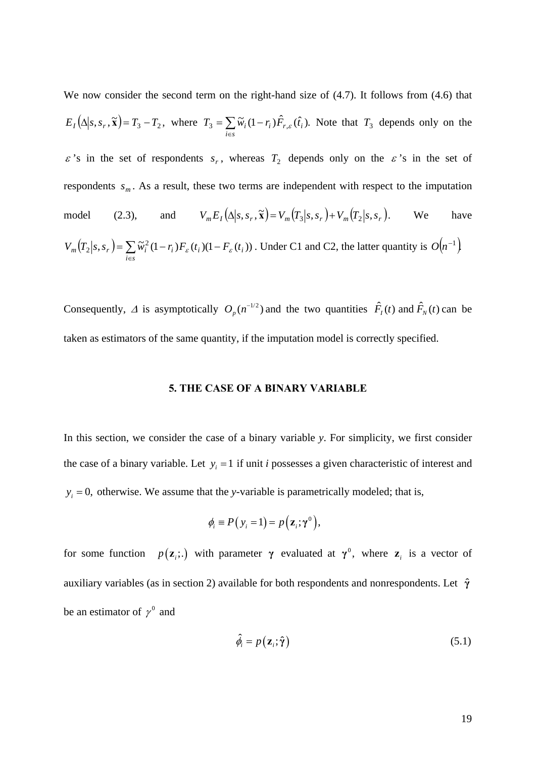We now consider the second term on the right-hand size of  $(4.7)$ . It follows from  $(4.6)$  that  $E_I(\Delta | s, s_r, \tilde{\mathbf{x}}) = T_3 - T_2$ , where  $T_3 = \sum \tilde{w}_i (1 - r_i) \hat{F}_{r,\varepsilon}(\hat{t}_i)$ . ∈  $=\sum \widetilde{w}_i(1-\right)$ *i s*  $T_3 = \sum \tilde{w}_i (1 - r_i) \tilde{F}_{r,\varepsilon}(\hat{t}_i)$ . Note that  $T_3$  depends only on the  $\varepsilon$ 's in the set of respondents  $s_r$ , whereas  $T_2$  depends only on the  $\varepsilon$ 's in the set of respondents  $s_m$ . As a result, these two terms are independent with respect to the imputation model (2.3), and  $V_m E_I(\Delta | s, s_r, \tilde{\mathbf{x}}) = V_m(T_3 | s, s_r) + V_m(T_2 | s, s_r)$ . We have  $(T_2 | s, s_r) = \sum$ ∈  $=\sum_{i} \widetilde{w}_{i}^{2}(1-r_{i})F_{\varepsilon}(t_{i})$  $(1-r_{i})F_{\varepsilon}(t_{i})$ *i s*  $V_m(T_2|s,s_r) = \sum \tilde{w}_i^2 (1-r_i) F_{\varepsilon}(t_i) (1-F_{\varepsilon}(t_i))$ . Under C1 and C2, the latter quantity is  $O(n^{-1})$ .

Consequently,  $\Delta$  is asymptotically  $O_p(n^{-1/2})$  and the two quantities  $\hat{F}_1(t)$  and  $\hat{F}_N(t)$  can be taken as estimators of the same quantity, if the imputation model is correctly specified.

# **5. THE CASE OF A BINARY VARIABLE**

In this section, we consider the case of a binary variable *y*. For simplicity, we first consider the case of a binary variable. Let  $y_i = 1$  if unit *i* possesses a given characteristic of interest and  $y_i = 0$ , otherwise. We assume that the *y*-variable is parametrically modeled; that is,

$$
\phi_i \equiv P\big(\,y_i = 1\big) = p\big(\mathbf{z}_i; \boldsymbol{\gamma}^0\big),
$$

for some function  $p(\mathbf{z}_i; \cdot)$  with parameter  $\gamma$  evaluated at  $\gamma^0$ , where  $\mathbf{z}_i$  is a vector of auxiliary variables (as in section 2) available for both respondents and nonrespondents. Let **γ**ˆ be an estimator of  $\gamma^0$  and

$$
\hat{\phi}_i = p(\mathbf{z}_i; \hat{\boldsymbol{\gamma}})
$$
\n(5.1)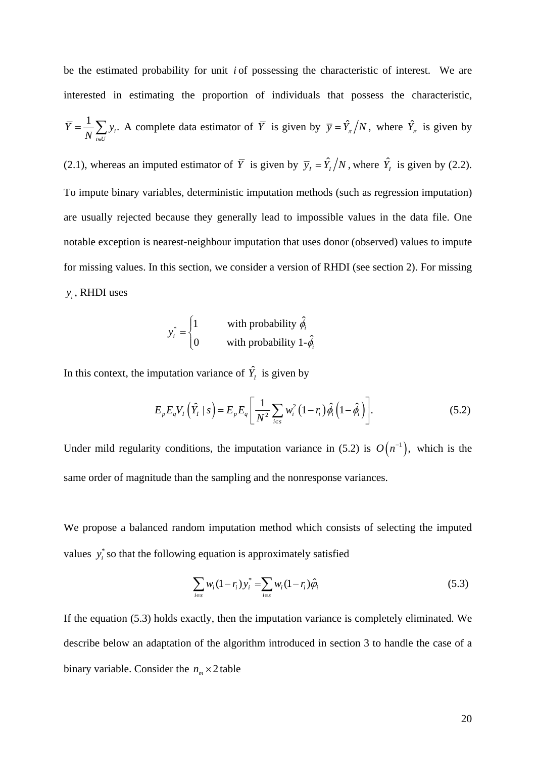be the estimated probability for unit *i* of possessing the characteristic of interest. We are interested in estimating the proportion of individuals that possess the characteristic,  $\frac{1}{N} \sum y_i$ .  $\overline{Y} = \frac{1}{N} \sum_{i \in U} y_i$ . A complete data estimator of  $\overline{Y}$  is given by  $\overline{y} = \hat{Y}_\pi/N$ , where  $\hat{Y}_\pi$  is given by (2.1), whereas an imputed estimator of  $\overline{Y}$  is given by  $\overline{y}_I = \hat{Y}_I/N$ , where  $\hat{Y}_I$  is given by (2.2). To impute binary variables, deterministic imputation methods (such as regression imputation) are usually rejected because they generally lead to impossible values in the data file. One notable exception is nearest-neighbour imputation that uses donor (observed) values to impute for missing values. In this section, we consider a version of RHDI (see section 2). For missing *<sup>i</sup> y* , RHDI uses

$$
y_i^* = \begin{cases} 1 & \text{with probability } \hat{\phi}_i \\ 0 & \text{with probability } 1 - \hat{\phi}_i \end{cases}
$$

In this context, the imputation variance of  $\hat{Y}_I$  is given by

$$
E_{p}E_{q}V_{I}\left(\hat{Y}_{I}|s\right) = E_{p}E_{q}\left[\frac{1}{N^{2}}\sum_{i\in s}w_{i}^{2}\left(1-r_{i}\right)\hat{\phi}_{i}\left(1-\hat{\phi}_{i}\right)\right].
$$
\n(5.2)

Under mild regularity conditions, the imputation variance in (5.2) is  $O(n^{-1})$ , which is the same order of magnitude than the sampling and the nonresponse variances.

We propose a balanced random imputation method which consists of selecting the imputed values  $y_i^*$  so that the following equation is approximately satisfied

$$
\sum_{i \in S} w_i (1 - r_i) y_i^* = \sum_{i \in S} w_i (1 - r_i) \hat{\varphi}_i
$$
 (5.3)

If the equation (5.3) holds exactly, then the imputation variance is completely eliminated. We describe below an adaptation of the algorithm introduced in section 3 to handle the case of a binary variable. Consider the  $n_m \times 2$  table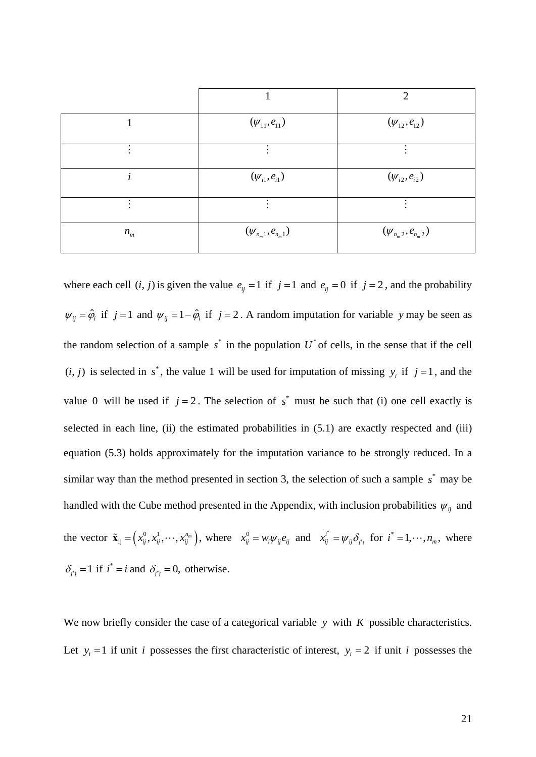|         |                          | $\mathcal{D}_{\mathcal{L}}$ |
|---------|--------------------------|-----------------------------|
|         | $(\psi_{11}, e_{11})$    | $(\psi_{12},e_{12})$        |
| ٠       |                          | ٠                           |
|         | $(\psi_{i1}, e_{i1})$    | $(\psi_{i2},e_{i2})$        |
|         |                          |                             |
| $n_{m}$ | $(\psi_{n_m1},e_{n_m1})$ | $(\psi_{n_m 2}, e_{n_m 2})$ |

where each cell  $(i, j)$  is given the value  $e_{ij} = 1$  if  $j = 1$  and  $e_{ij} = 0$  if  $j = 2$ , and the probability  $\psi_{ij} = \hat{\phi}_i$  if  $j = 1$  and  $\psi_{ij} = 1 - \hat{\phi}_i$  if  $j = 2$ . A random imputation for variable *y* may be seen as the random selection of a sample  $s^*$  in the population  $U^*$  of cells, in the sense that if the cell  $(i, j)$  is selected in  $s^*$ , the value 1 will be used for imputation of missing  $y_i$  if  $j = 1$ , and the value 0 will be used if  $j = 2$ . The selection of  $s^*$  must be such that (i) one cell exactly is selected in each line, (ii) the estimated probabilities in (5.1) are exactly respected and (iii) equation (5.3) holds approximately for the imputation variance to be strongly reduced. In a similar way than the method presented in section 3, the selection of such a sample  $s^*$  may be handled with the Cube method presented in the Appendix, with inclusion probabilities  $\psi_{ij}$  and the vector  $\tilde{\mathbf{x}}_{ij} = (x_{ij}^0, x_{ij}^1, \dots, x_{ij}^{n_m})$ , where  $x_{ij}^0 = w_i \psi_{ij} e_{ij}$  and  $x_{ij}^i = \psi_{ij} \delta_i$  $x_{ij}$ <sup>*i*</sup> =  $\psi_{ij} \delta_{i}$ <sup>\*</sup> for *i*<sup>\*</sup> = 1,  $\cdots$ , *n<sub>m</sub>*, where  $\delta_{i i} = 1$  if  $i^* = i$  and  $\delta_{i i} = 0$ , otherwise.

We now briefly consider the case of a categorical variable *y* with *K* possible characteristics. Let  $y_i = 1$  if unit *i* possesses the first characteristic of interest,  $y_i = 2$  if unit *i* possesses the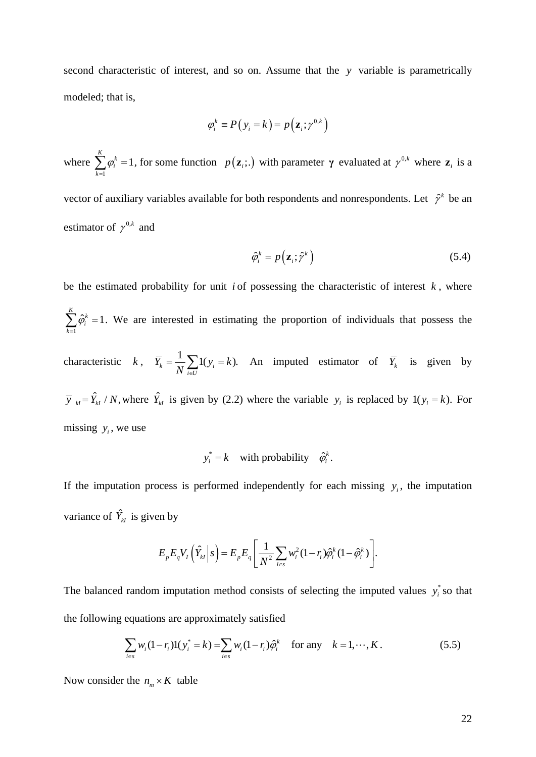second characteristic of interest, and so on. Assume that the *y* variable is parametrically modeled; that is,

$$
\varphi_i^k \equiv P(y_i = k) = p(\mathbf{z}_i; \gamma^{0,k})
$$

where 1 1 *K k i k*  $\varphi$  $\sum_{k=1}^{\infty} \varphi_i^k = 1$ , for some function  $p(\mathbf{z}_i; \cdot)$  with parameter  $\gamma$  evaluated at  $\gamma^{0,k}$  where  $\mathbf{z}_i$  is a

vector of auxiliary variables available for both respondents and nonrespondents. Let  $\hat{\gamma}^k$  be an estimator of  $\gamma^{0,k}$  and

$$
\hat{\varphi}_i^k = p\left(\mathbf{z}_i; \hat{\gamma}^k\right) \tag{5.4}
$$

be the estimated probability for unit *i* of possessing the characteristic of interest  $k$ , where 1  $\sum_{i=1}^{K} \hat{\varphi}_i^k = 1$ *i k*  $\varphi$  $\sum_{k=1} \hat{\varphi}_i^k = 1$ . We are interested in estimating the proportion of individuals that possess the characteristic  $k, \overline{Y}_k = \frac{1}{N} \sum_i (y_i = k).$  $\overline{Y}_k = \frac{1}{N} \sum_{i \in U} 1(y_i = k)$ . An imputed estimator of  $\overline{Y}_k$  is given by  $\overline{y}_{kl} = \hat{Y}_{kl} / N$ , where  $\hat{Y}_{kl}$  is given by (2.2) where the variable  $y_i$  is replaced by  $1(y_i = k)$ . For missing  $y_i$ , we use

$$
y_i^* = k \quad \text{with probability} \quad \hat{\varphi}_i^k.
$$

If the imputation process is performed independently for each missing  $y_i$ , the imputation variance of  $\hat{Y}_{kI}$  is given by

$$
E_p E_q V_I\left(\hat{Y}_{kl}\Big|s\right) = E_p E_q \left[\frac{1}{N^2} \sum_{i \in s} w_i^2 (1-r_i) \hat{\varphi}_i^k (1-\hat{\varphi}_i^k)\right].
$$

The balanced random imputation method consists of selecting the imputed values  $y_i^*$  so that the following equations are approximately satisfied

$$
\sum_{i \in s} w_i (1 - r_i) 1(y_i^* = k) = \sum_{i \in s} w_i (1 - r_i) \hat{\varphi}_i^k \quad \text{for any} \quad k = 1, \cdots, K. \tag{5.5}
$$

Now consider the  $n_m \times K$  table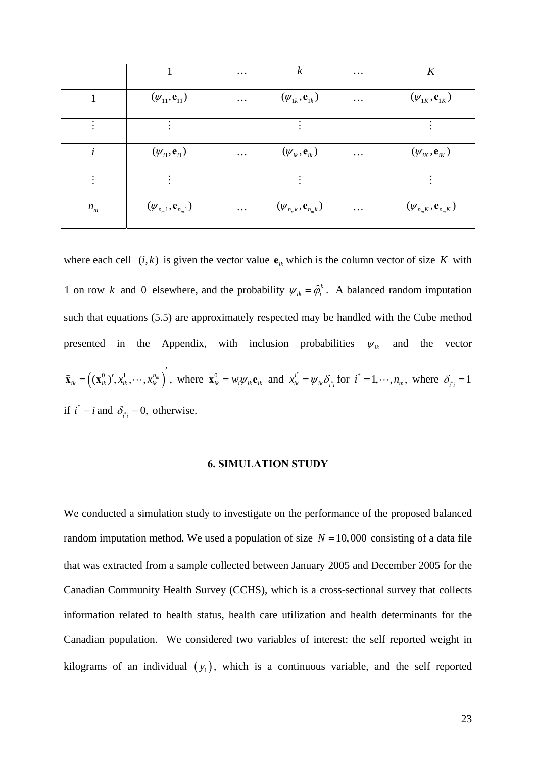|         |                                      | $\cdots$ | $\boldsymbol{k}$                       | $\cdots$ | K                                    |
|---------|--------------------------------------|----------|----------------------------------------|----------|--------------------------------------|
|         | $(\psi_{11}, \mathbf{e}_{11})$       | $\cdots$ | $(\psi_{1k}, {\bf e}_{1k})$            | $\cdots$ | $(\psi_{1K}, {\bf e}_{1K})$          |
|         |                                      |          |                                        |          |                                      |
|         | $(\psi_{i1}, e_{i1})$                | $\cdots$ | $(\psi_{ik}, \mathbf{e}_{ik})$         | $\cdots$ | $(\psi_{iK}, \mathbf{e}_{iK})$       |
|         |                                      |          |                                        |          |                                      |
| $n_{m}$ | $(\psi_{n_m 1}, \mathbf{e}_{n_m 1})$ | $\cdots$ | $(\psi_{n_{m}k}, \mathbf{e}_{n_{m}k})$ | $\cdots$ | $(\psi_{n_m K}, \mathbf{e}_{n_m K})$ |

where each cell  $(i, k)$  is given the vector value  $e_{ik}$  which is the column vector of size *K* with 1 on row *k* and 0 elsewhere, and the probability  $\psi_{ik} = \hat{\varphi}_i^k$ . A balanced random imputation such that equations (5.5) are approximately respected may be handled with the Cube method presented in the Appendix, with inclusion probabilities  $\psi_{ik}$  and the vector  $\tilde{\mathbf{x}}_{ik} = \left( (\mathbf{x}_{ik}^0)' , x_{ik}^1, \cdots, x_{ik}^{n_m} \right)', \text{ where } \mathbf{x}_{ik}^0 = w_i \psi_{ik} \mathbf{e}_{ik} \text{ and } x_{ik}^{i^*} = \psi_{ik} \delta_{i^*}$  $x_{ik}^i = \psi_{ik} \delta_{i'i}$  for  $i^* = 1, \dots, n_m$ , where  $\delta_{i'i} = 1$ if  $i^* = i$  and  $\delta_{i i} = 0$ , otherwise.

# **6. SIMULATION STUDY**

We conducted a simulation study to investigate on the performance of the proposed balanced random imputation method. We used a population of size  $N = 10,000$  consisting of a data file that was extracted from a sample collected between January 2005 and December 2005 for the Canadian Community Health Survey (CCHS), which is a cross-sectional survey that collects information related to health status, health care utilization and health determinants for the Canadian population. We considered two variables of interest: the self reported weight in kilograms of an individual  $(y_1)$ , which is a continuous variable, and the self reported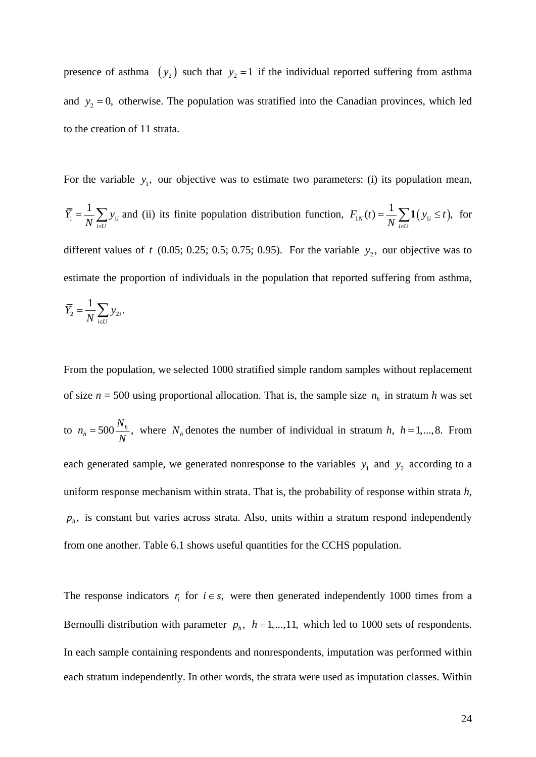presence of asthma  $(y_2)$  such that  $y_2 = 1$  if the individual reported suffering from asthma and  $y_2 = 0$ , otherwise. The population was stratified into the Canadian provinces, which led to the creation of 11 strata.

For the variable  $y_1$ , our objective was to estimate two parameters: (i) its population mean,

 $1 - \frac{1}{M} \sum_i y_i$ 1 *i*  $\overline{Y}_1 = \frac{1}{N} \sum_{i \in U} y_{1i}$  and (ii) its finite population distribution function,  $F_{1N}(t) = \frac{1}{N} \sum_{i \in U} \mathbf{1}(y_{1i} \le t)$ , for different values of  $t$  (0.05; 0.25; 0.5; 0.75; 0.95). For the variable  $y_2$ , our objective was to estimate the proportion of individuals in the population that reported suffering from asthma,  $\overline{Y}_2 = \frac{1}{N} \sum y_{2i}.$  $\overline{Y}_2 = \frac{1}{N} \sum_{i \in U} y_i$ 

From the population, we selected 1000 stratified simple random samples without replacement of size  $n = 500$  using proportional allocation. That is, the sample size  $n_h$  in stratum *h* was set to  $n_h = 500 \frac{N_h}{N}$ ,  $n_h = 500 \frac{N_h}{N}$ , where  $N_h$  denotes the number of individual in stratum *h*, *h* = 1,...,8. From each generated sample, we generated nonresponse to the variables  $y_1$  and  $y_2$  according to a uniform response mechanism within strata. That is, the probability of response within strata *h*,  $p_h$ , is constant but varies across strata. Also, units within a stratum respond independently from one another. Table 6.1 shows useful quantities for the CCHS population.

The response indicators  $r_i$  for  $i \in s$ , were then generated independently 1000 times from a Bernoulli distribution with parameter  $p_h$ ,  $h = 1, ..., 11$ , which led to 1000 sets of respondents. In each sample containing respondents and nonrespondents, imputation was performed within each stratum independently. In other words, the strata were used as imputation classes. Within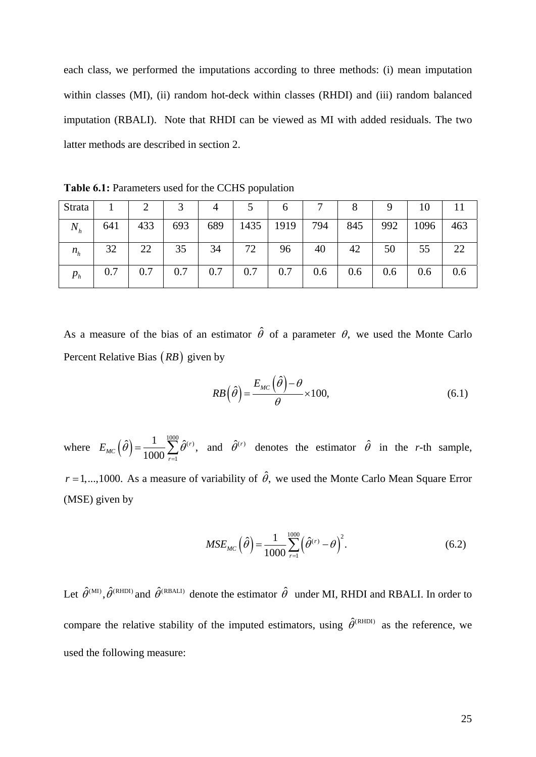each class, we performed the imputations according to three methods: (i) mean imputation within classes (MI), (ii) random hot-deck within classes (RHDI) and (iii) random balanced imputation (RBALI). Note that RHDI can be viewed as MI with added residuals. The two latter methods are described in section 2.

**Table 6.1:** Parameters used for the CCHS population

| Strata |     |     |     |     |      | O    |     |     |     | 10   |     |
|--------|-----|-----|-----|-----|------|------|-----|-----|-----|------|-----|
| $N_h$  | 641 | 433 | 693 | 689 | 1435 | 1919 | 794 | 845 | 992 | 1096 | 463 |
| $n_h$  | 32  | 22  | 35  | 34  | 72   | 96   | 40  | 42  | 50  | 55   | 22  |
| $p_h$  | 0.7 | 0.7 | 0.7 | 0.7 | 0.7  | 0.7  | 0.6 | 0.6 | 0.6 | 0.6  | 0.6 |

As a measure of the bias of an estimator  $\hat{\theta}$  of a parameter  $\theta$ , we used the Monte Carlo Percent Relative Bias (*RB*) given by

$$
RB\left(\hat{\theta}\right) = \frac{E_{MC}\left(\hat{\theta}\right) - \theta}{\theta} \times 100,\tag{6.1}
$$

where  $E_{MC}(\hat{\theta}) = \frac{1}{1000} \sum_{r=1}^{1000} \hat{\theta}^{(r)}$  $\hat{\theta}$ ) =  $\frac{1}{1000} \sum_{r=1}^{1000} \hat{\theta}^{(r)},$ *MC r*  $E_{\text{MC}}(\theta) = \frac{1}{1000} \sum \theta$  $=\frac{1}{1000}\sum_{r=1}^{\infty} \hat{\theta}^{(r)}$ , and  $\hat{\theta}^{(r)}$  denotes the estimator  $\hat{\theta}$  in the *r*-th sample,  $r = 1, \ldots, 1000$ . As a measure of variability of  $\hat{\theta}$ , we used the Monte Carlo Mean Square Error (MSE) given by

$$
MSE_{MC}(\hat{\theta}) = \frac{1}{1000} \sum_{r=1}^{1000} (\hat{\theta}^{(r)} - \theta)^2.
$$
 (6.2)

Let  $\hat{\theta}^{(MI)}$ ,  $\hat{\theta}^{(RHDI)}$  and  $\hat{\theta}^{(RBALI)}$  denote the estimator  $\hat{\theta}$  under MI, RHDI and RBALI. In order to compare the relative stability of the imputed estimators, using  $\hat{\theta}^{(RHDI)}$  as the reference, we used the following measure: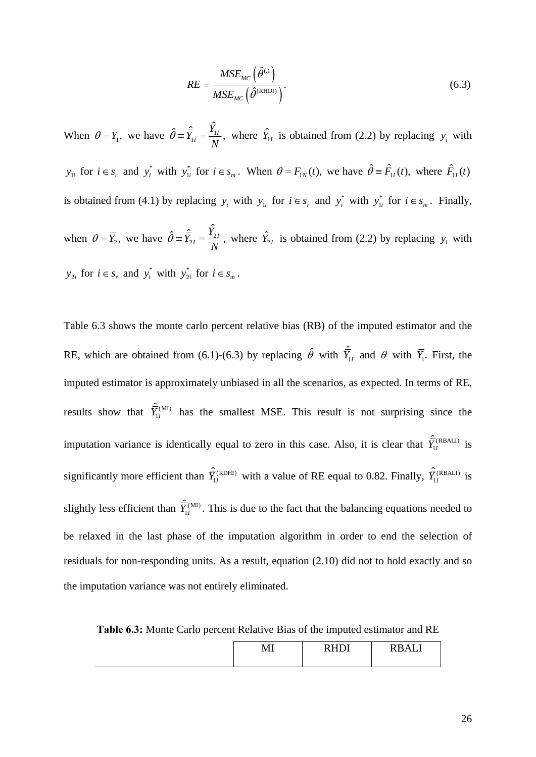$$
RE = \frac{MSE_{MC}(\hat{\theta}^{(1)})}{MSE_{MC}(\hat{\theta}^{(RHDI)})}.
$$
\n(6.3)

When  $\theta = \overline{Y}_1$ , we have  $\hat{\theta} = \hat{\overline{Y}}_1 / \hat{\overline{Y}}_1 / \hat{\overline{Y}}_2$  $\hat{\theta} = \hat{Y}_{1I} = \frac{Y_{1I}}{N}$ , where  $\hat{Y}_{1I}$  is obtained from (2.2) by replacing  $y_i$  with  $y_{1i}$  for  $i \in s_r$ , and  $y_i^*$  with  $y_{1i}^*$  for  $i \in s_m$ . When  $\theta = F_{1N}(t)$ , we have  $\hat{\theta} = \hat{F}_{1I}(t)$ , where  $\hat{F}_{1I}(t)$ is obtained from (4.1) by replacing  $y_i$  with  $y_{1i}$  for  $i \in s_r$  and  $y_i^*$  with  $y_{1i}^*$  for  $i \in s_m$ . Finally, when  $\theta = \overline{Y}_2$ , we have  $\hat{\theta} = \hat{\overline{Y}}_{2I} = \frac{\hat{Y}_{2I}}{N}$ ,  $\hat{\theta} = \hat{Y}_{2I} = \frac{Y_{2I}}{N}$ , where  $\hat{Y}_{2I}$  is obtained from (2.2) by replacing  $y_i$  with  $y_{2i}$  for  $i \in s_r$  and  $y_i^*$  with  $y_{2i}^*$  for  $i \in s_m$ .

Table 6.3 shows the monte carlo percent relative bias (RB) of the imputed estimator and the RE, which are obtained from (6.1)-(6.3) by replacing  $\hat{\theta}$  with  $\hat{Y}_{1i}$  and  $\theta$  with  $\overline{Y}_{1i}$ . First, the imputed estimator is approximately unbiased in all the scenarios, as expected. In terms of RE, results show that  $\hat{\overline{Y}}_{II}^{(M1)}$  has the smallest MSE. This result is not surprising since the imputation variance is identically equal to zero in this case. Also, it is clear that  $\hat{\overline{Y}}_{1I}^{(RBALI)}$  is significantly more efficient than  $\hat{\overline{Y}}_{1I}^{(RDHI)}$  with a value of RE equal to 0.82. Finally,  $\hat{\overline{Y}}_{1I}^{(RBALI)}$  is slightly less efficient than  $\hat{\overline{Y}}_{1I}^{(MI)}$ . This is due to the fact that the balancing equations needed to be relaxed in the last phase of the imputation algorithm in order to end the selection of residuals for non-responding units. As a result, equation (2.10) did not to hold exactly and so the imputation variance was not entirely eliminated.

**Table 6.3:** Monte Carlo percent Relative Bias of the imputed estimator and RE

| v<br>TATT | $n \tau n$ | . . <del>.</del> .<br>$\overline{\phantom{a}}$<br>-<br>דדע<br>. |
|-----------|------------|-----------------------------------------------------------------|
|-----------|------------|-----------------------------------------------------------------|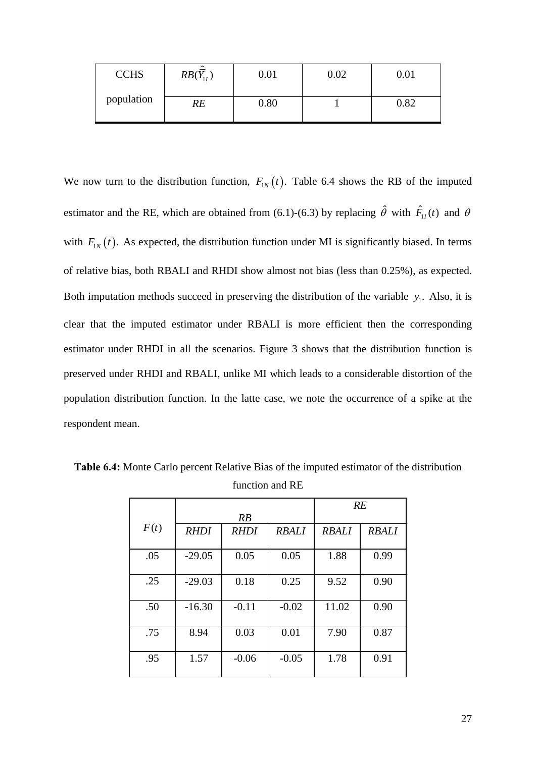| <b>CCHS</b> | ㅅ<br>$RB(Y_{11})$ | $\rm 0.01$ | $0.02\,$ | $\rm 0.01$ |
|-------------|-------------------|------------|----------|------------|
| population  | RE                | 0.80       |          | 0.82       |

We now turn to the distribution function,  $F_{1N}(t)$ . Table 6.4 shows the RB of the imputed estimator and the RE, which are obtained from (6.1)-(6.3) by replacing  $\hat{\theta}$  with  $\hat{F}_{1I}(t)$  and  $\theta$ with  $F_{1N}(t)$ . As expected, the distribution function under MI is significantly biased. In terms of relative bias, both RBALI and RHDI show almost not bias (less than 0.25%), as expected. Both imputation methods succeed in preserving the distribution of the variable  $y_1$ . Also, it is clear that the imputed estimator under RBALI is more efficient then the corresponding estimator under RHDI in all the scenarios. Figure 3 shows that the distribution function is preserved under RHDI and RBALI, unlike MI which leads to a considerable distortion of the population distribution function. In the latte case, we note the occurrence of a spike at the respondent mean.

|      |             |             | RE           |              |              |
|------|-------------|-------------|--------------|--------------|--------------|
|      |             | RB          |              |              |              |
| F(t) | <b>RHDI</b> | <b>RHDI</b> | <b>RBALI</b> | <b>RBALI</b> | <b>RBALI</b> |
|      |             |             |              |              |              |
| .05  | $-29.05$    | 0.05        | 0.05         | 1.88         | 0.99         |
|      |             |             |              |              |              |
| .25  | $-29.03$    | 0.18        | 0.25         | 9.52         | 0.90         |
|      |             |             |              |              |              |
| .50  | $-16.30$    | $-0.11$     | $-0.02$      | 11.02        | 0.90         |
|      |             |             |              |              |              |
| .75  | 8.94        | 0.03        | 0.01         | 7.90         | 0.87         |
|      |             |             |              |              |              |
| .95  | 1.57        | $-0.06$     | $-0.05$      | 1.78         | 0.91         |
|      |             |             |              |              |              |

**Table 6.4:** Monte Carlo percent Relative Bias of the imputed estimator of the distribution function and RE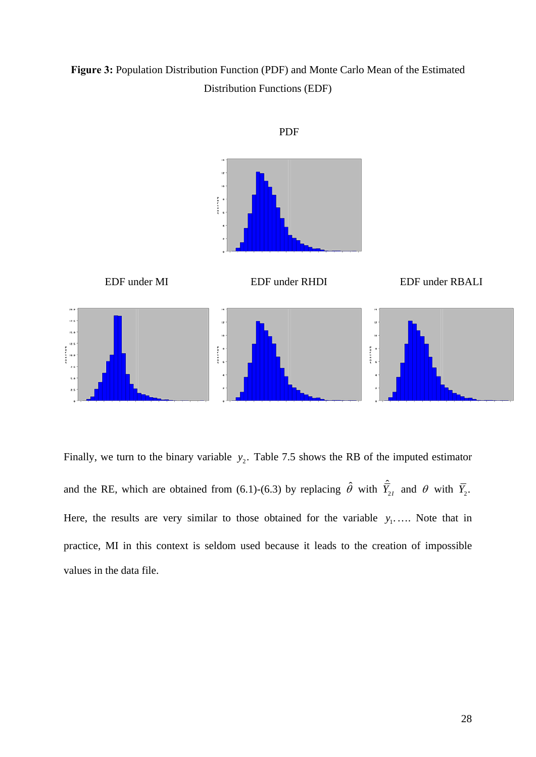**Figure 3:** Population Distribution Function (PDF) and Monte Carlo Mean of the Estimated Distribution Functions (EDF)



Finally, we turn to the binary variable  $y_2$ . Table 7.5 shows the RB of the imputed estimator and the RE, which are obtained from (6.1)-(6.3) by replacing  $\hat{\theta}$  with  $\hat{Y}_2$ , and  $\theta$  with  $\bar{Y}_2$ . Here, the results are very similar to those obtained for the variable  $y_1$ ..... Note that in practice, MI in this context is seldom used because it leads to the creation of impossible values in the data file.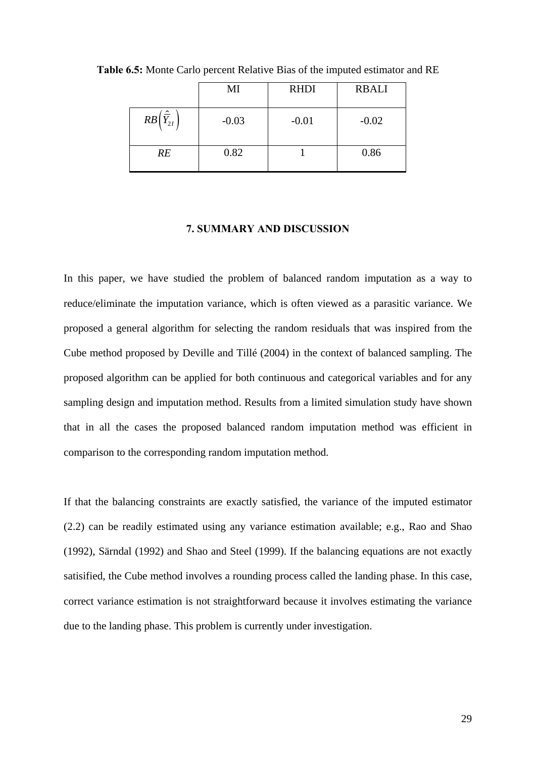|                                         | MI      | <b>RHDI</b> | <b>RBALI</b> |
|-----------------------------------------|---------|-------------|--------------|
| $RB\left(\frac{\hat{r}}{Y_{2I}}\right)$ | $-0.03$ | $-0.01$     | $-0.02$      |
| RE                                      | 0.82    |             | 0.86         |

**Table 6.5:** Monte Carlo percent Relative Bias of the imputed estimator and RE

#### **7. SUMMARY AND DISCUSSION**

In this paper, we have studied the problem of balanced random imputation as a way to reduce/eliminate the imputation variance, which is often viewed as a parasitic variance. We proposed a general algorithm for selecting the random residuals that was inspired from the Cube method proposed by Deville and Tillé (2004) in the context of balanced sampling. The proposed algorithm can be applied for both continuous and categorical variables and for any sampling design and imputation method. Results from a limited simulation study have shown that in all the cases the proposed balanced random imputation method was efficient in comparison to the corresponding random imputation method.

If that the balancing constraints are exactly satisfied, the variance of the imputed estimator (2.2) can be readily estimated using any variance estimation available; e.g., Rao and Shao (1992), Särndal (1992) and Shao and Steel (1999). If the balancing equations are not exactly satisified, the Cube method involves a rounding process called the landing phase. In this case, correct variance estimation is not straightforward because it involves estimating the variance due to the landing phase. This problem is currently under investigation.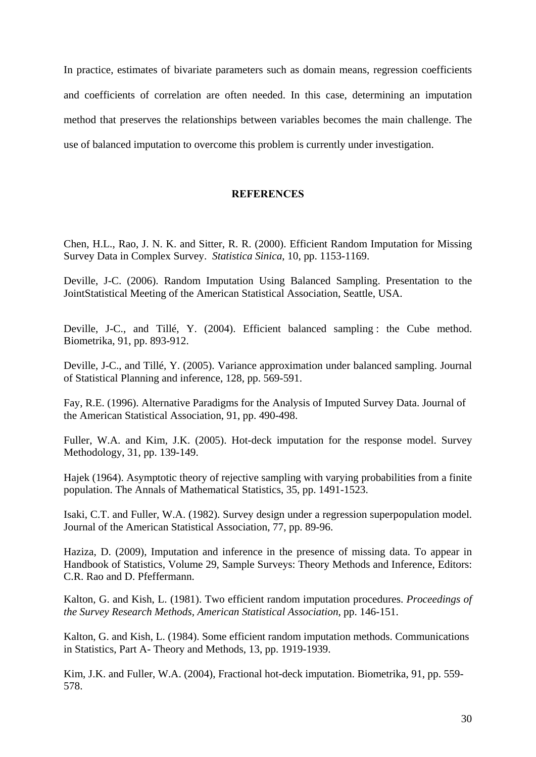In practice, estimates of bivariate parameters such as domain means, regression coefficients and coefficients of correlation are often needed. In this case, determining an imputation method that preserves the relationships between variables becomes the main challenge. The use of balanced imputation to overcome this problem is currently under investigation.

# **REFERENCES**

Chen, H.L., Rao, J. N. K. and Sitter, R. R. (2000). Efficient Random Imputation for Missing Survey Data in Complex Survey. *Statistica Sinica*, 10, pp. 1153-1169.

Deville, J-C. (2006). Random Imputation Using Balanced Sampling. Presentation to the JointStatistical Meeting of the American Statistical Association, Seattle, USA.

Deville, J-C., and Tillé, Y. (2004). Efficient balanced sampling : the Cube method. Biometrika, 91, pp. 893-912.

Deville, J-C., and Tillé, Y. (2005). Variance approximation under balanced sampling. Journal of Statistical Planning and inference, 128, pp. 569-591.

Fay, R.E. (1996). Alternative Paradigms for the Analysis of Imputed Survey Data. Journal of the American Statistical Association, 91, pp. 490-498.

Fuller, W.A. and Kim, J.K. (2005). Hot-deck imputation for the response model. Survey Methodology, 31, pp. 139-149.

Hajek (1964). Asymptotic theory of rejective sampling with varying probabilities from a finite population. The Annals of Mathematical Statistics, 35, pp. 1491-1523.

Isaki, C.T. and Fuller, W.A. (1982). Survey design under a regression superpopulation model. Journal of the American Statistical Association, 77, pp. 89-96.

Haziza, D. (2009), Imputation and inference in the presence of missing data. To appear in Handbook of Statistics, Volume 29, Sample Surveys: Theory Methods and Inference, Editors: C.R. Rao and D. Pfeffermann.

Kalton, G. and Kish, L. (1981). Two efficient random imputation procedures. *Proceedings of the Survey Research Methods, American Statistical Association*, pp. 146-151.

Kalton, G. and Kish, L. (1984). Some efficient random imputation methods. Communications in Statistics, Part A- Theory and Methods, 13, pp. 1919-1939.

Kim, J.K. and Fuller, W.A. (2004), Fractional hot-deck imputation. Biometrika, 91, pp. 559- 578.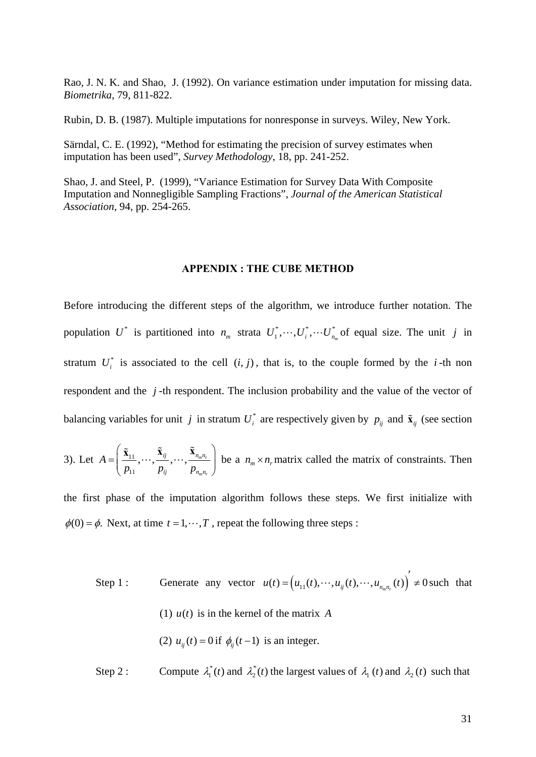Rao, J. N. K. and Shao, J. (1992). On variance estimation under imputation for missing data. *Biometrika*, 79, 811-822.

Rubin, D. B. (1987). Multiple imputations for nonresponse in surveys. Wiley, New York.

Särndal, C. E. (1992), "Method for estimating the precision of survey estimates when imputation has been used", *Survey Methodology*, 18, pp. 241-252.

Shao, J. and Steel, P. (1999), "Variance Estimation for Survey Data With Composite Imputation and Nonnegligible Sampling Fractions", *Journal of the American Statistical Association*, 94, pp. 254-265.

#### **APPENDIX : THE CUBE METHOD**

Before introducing the different steps of the algorithm, we introduce further notation. The population  $U^*$  is partitioned into  $n_m$  strata  $U_1^*, \dots, U_i^*, \dots U_{n_m}^*$  of equal size. The unit *j* in stratum  $U_i^*$  is associated to the cell  $(i, j)$ , that is, to the couple formed by the *i*-th non respondent and the *j* -th respondent. The inclusion probability and the value of the vector of balancing variables for unit *j* in stratum  $U_i^*$  are respectively given by  $p_{ij}$  and  $\tilde{\mathbf{x}}_{ij}$  (see section

3). Let 
$$
A = \left(\frac{\tilde{\mathbf{x}}_{11}}{p_{11}}, \dots, \frac{\tilde{\mathbf{x}}_{ij}}{p_{ij}}, \dots, \frac{\tilde{\mathbf{x}}_{n_m n_r}}{p_{n_m n_r}}\right)
$$
 be a  $n_m \times n_r$  matrix called the matrix of constraints. Then

the first phase of the imputation algorithm follows these steps. We first initialize with  $\phi(0) = \phi$ . Next, at time  $t = 1, \dots, T$ , repeat the following three steps :

- Step 1 : Generate any vector  $u(t) = ( u_{11}(t), \dots, u_{i j}(t), \dots, u_{n m} (t) )' \neq 0$  such that (1)  $u(t)$  is in the kernel of the matrix *A* (2)  $u_{ii}(t) = 0$  if  $\phi_{ii}(t-1)$  is an integer.
- Step 2 : Compute  $\lambda_1^*(t)$  and  $\lambda_2^*(t)$  the largest values of  $\lambda_1(t)$  and  $\lambda_2(t)$  such that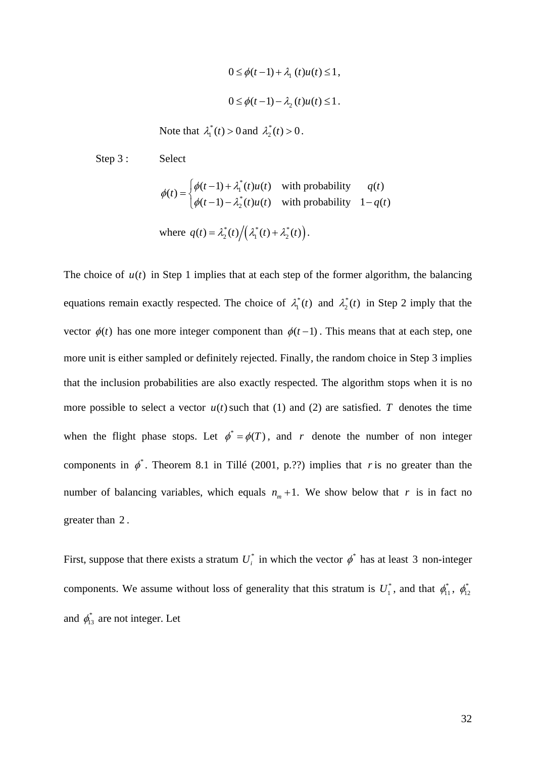$$
0 \le \phi(t-1) + \lambda_1(t)u(t) \le 1,
$$
  

$$
0 \le \phi(t-1) - \lambda_2(t)u(t) \le 1.
$$

Note that  $\lambda_1^*(t) > 0$  and  $\lambda_2^*(t) > 0$ .

Step 3 : Select

$$
\phi(t) = \begin{cases} \phi(t-1) + \lambda_1^*(t)u(t) & \text{with probability} & q(t) \\ \phi(t-1) - \lambda_2^*(t)u(t) & \text{with probability} & 1-q(t) \end{cases}
$$

where 
$$
q(t) = \lambda_2^*(t) / (\lambda_1^*(t) + \lambda_2^*(t)).
$$

The choice of  $u(t)$  in Step 1 implies that at each step of the former algorithm, the balancing equations remain exactly respected. The choice of  $\lambda_1^*(t)$  and  $\lambda_2^*(t)$  in Step 2 imply that the vector  $\phi(t)$  has one more integer component than  $\phi(t-1)$ . This means that at each step, one more unit is either sampled or definitely rejected. Finally, the random choice in Step 3 implies that the inclusion probabilities are also exactly respected. The algorithm stops when it is no more possible to select a vector  $u(t)$  such that (1) and (2) are satisfied. *T* denotes the time when the flight phase stops. Let  $\phi^* = \phi(T)$ , and *r* denote the number of non integer components in  $\phi^*$ . Theorem 8.1 in Tillé (2001, p.??) implies that *r* is no greater than the number of balancing variables, which equals  $n_m + 1$ . We show below that *r* is in fact no greater than 2 .

First, suppose that there exists a stratum  $U_i^*$  in which the vector  $\phi^*$  has at least 3 non-integer components. We assume without loss of generality that this stratum is  $U_1^*$ , and that  $\phi_{11}^*$ ,  $\phi_{12}^*$ and  $\phi_{13}^*$  are not integer. Let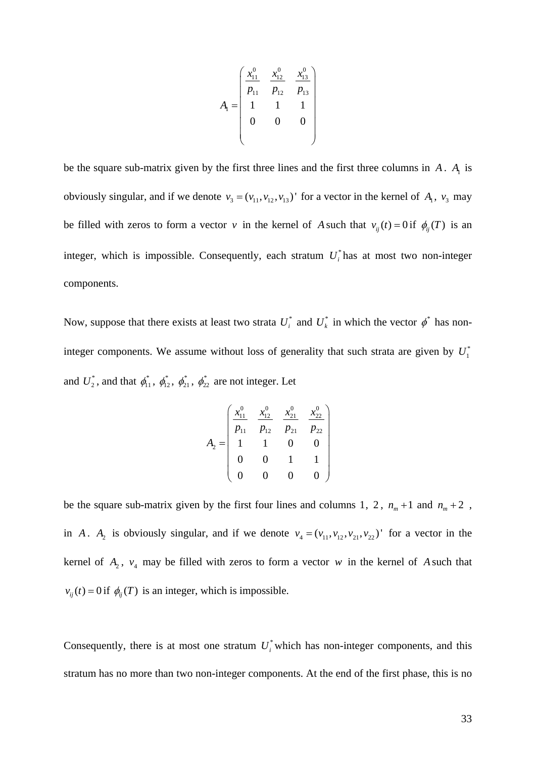$$
A_{1} = \begin{pmatrix} x_{11}^{0} & x_{12}^{0} & x_{13}^{0} \\ p_{11} & p_{12} & p_{13} \\ 1 & 1 & 1 \\ 0 & 0 & 0 \end{pmatrix}
$$

be the square sub-matrix given by the first three lines and the first three columns in  $A$ .  $A<sub>1</sub>$  is obviously singular, and if we denote  $v_3 = (v_{11}, v_{12}, v_{13})'$  for a vector in the kernel of  $A_1$ ,  $v_3$  may be filled with zeros to form a vector *v* in the kernel of *A* such that  $v_{ij}(t) = 0$  if  $\phi_{ij}(T)$  is an integer, which is impossible. Consequently, each stratum  $U_i^*$  has at most two non-integer components.

Now, suppose that there exists at least two strata  $U_i^*$  and  $U_k^*$  in which the vector  $\phi^*$  has noninteger components. We assume without loss of generality that such strata are given by  $U_1^*$ and  $U_2^*$ , and that  $\phi_{11}^*$ ,  $\phi_{12}^*$ ,  $\phi_{21}^*$ ,  $\phi_{22}^*$  are not integer. Let

$$
A_2 = \begin{pmatrix} x_{11}^0 & x_{12}^0 & x_{21}^0 & x_{22}^0 \\ p_{11} & p_{12} & p_{21} & p_{22} \\ 1 & 1 & 0 & 0 \\ 0 & 0 & 1 & 1 \\ 0 & 0 & 0 & 0 \end{pmatrix}
$$

be the square sub-matrix given by the first four lines and columns 1, 2,  $n_m + 1$  and  $n_m + 2$ , in *A*.  $A_2$  is obviously singular, and if we denote  $v_4 = (v_{11}, v_{12}, v_{21}, v_{22})'$  for a vector in the kernel of  $A_2$ ,  $v_4$  may be filled with zeros to form a vector w in the kernel of A such that  $v_{ii}(t) = 0$  if  $\phi_{ii}(T)$  is an integer, which is impossible.

Consequently, there is at most one stratum  $U_i^*$  which has non-integer components, and this stratum has no more than two non-integer components. At the end of the first phase, this is no